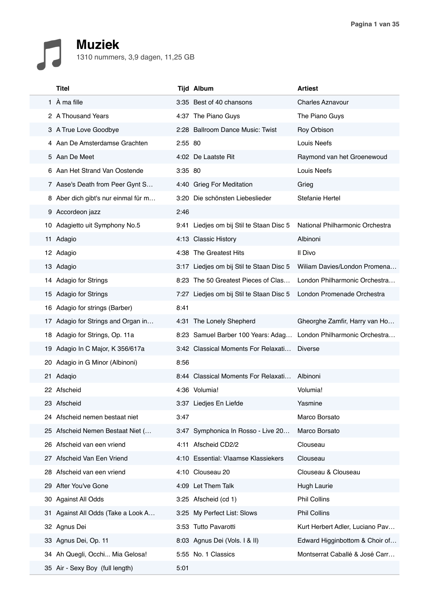## **Muziek**

| 1310 nummers, 3,9 dagen, 11,25 GB |  |
|-----------------------------------|--|
|-----------------------------------|--|

|     | <b>Titel</b>                        |         | <b>Tijd Album</b>                        | <b>Artiest</b>                  |
|-----|-------------------------------------|---------|------------------------------------------|---------------------------------|
|     | 1 À ma fille                        |         | 3:35 Best of 40 chansons                 | <b>Charles Aznavour</b>         |
|     | 2 A Thousand Years                  |         | 4:37 The Piano Guys                      | The Piano Guys                  |
|     | 3 A True Love Goodbye               |         | 2:28 Ballroom Dance Music: Twist         | Roy Orbison                     |
|     | 4 Aan De Amsterdamse Grachten       | 2:55 80 |                                          | Louis Neefs                     |
|     | 5 Aan De Meet                       |         | 4:02 De Laatste Rit                      | Raymond van het Groenewoud      |
|     | 6 Aan Het Strand Van Oostende       | 3:35 80 |                                          | Louis Neefs                     |
|     | 7 Aase's Death from Peer Gynt S     |         | 4:40 Grieg For Meditation                | Grieg                           |
|     | 8 Aber dich gibt's nur einmal für m |         | 3:20 Die schönsten Liebeslieder          | Stefanie Hertel                 |
|     | 9 Accordeon jazz                    | 2:46    |                                          |                                 |
|     | 10 Adagietto uit Symphony No.5      |         | 9:41 Liedjes om bij Stil te Staan Disc 5 | National Philharmonic Orchestra |
|     | 11 Adagio                           |         | 4:13 Classic History                     | Albinoni                        |
|     | 12 Adagio                           |         | 4:38 The Greatest Hits                   | Il Divo                         |
|     | 13 Adagio                           |         | 3:17 Liedjes om bij Stil te Staan Disc 5 | Wiliam Davies/London Promena    |
|     | 14 Adagio for Strings               |         | 8:23 The 50 Greatest Pieces of Clas      | London Philharmonic Orchestra   |
|     | 15 Adagio for Strings               |         | 7:27 Liedjes om bij Stil te Staan Disc 5 | London Promenade Orchestra      |
|     | 16 Adagio for strings (Barber)      | 8:41    |                                          |                                 |
|     | 17 Adagio for Strings and Organ in  |         | 4:31 The Lonely Shepherd                 | Gheorghe Zamfir, Harry van Ho   |
|     | 18 Adagio for Strings, Op. 11a      |         | 8:23 Samuel Barber 100 Years: Adag       | London Philharmonic Orchestra   |
|     | 19 Adagio In C Major, K 356/617a    |         | 3:42 Classical Moments For Relaxati      | <b>Diverse</b>                  |
| 20  | Adagio in G Minor (Albinoni)        | 8:56    |                                          |                                 |
|     | 21 Adaqio                           |         | 8:44 Classical Moments For Relaxati      | Albinoni                        |
|     | 22 Afscheid                         |         | 4:36 Volumia!                            | Volumia!                        |
|     | 23 Afscheid                         |         | 3:37 Liedjes En Liefde                   | Yasmine                         |
|     | 24 Afscheid nemen bestaat niet      | 3:47    |                                          | Marco Borsato                   |
|     | 25 Afscheid Nemen Bestaat Niet (    |         | 3:47 Symphonica In Rosso - Live 20       | Marco Borsato                   |
| 26  | Afscheid van een vriend             |         | 4:11 Afscheid CD2/2                      | Clouseau                        |
| 27  | Afscheid Van Een Vriend             |         | 4:10 Essential: Vlaamse Klassiekers      | Clouseau                        |
| 28. | Afscheid van een vriend             |         | 4:10 Clouseau 20                         | Clouseau & Clouseau             |
|     | 29 After You've Gone                |         | 4:09 Let Them Talk                       | Hugh Laurie                     |
| 30  | Against All Odds                    |         | 3:25 Afscheid (cd 1)                     | <b>Phil Collins</b>             |
| 31. | Against All Odds (Take a Look A     |         | 3:25 My Perfect List: Slows              | <b>Phil Collins</b>             |
|     | 32 Agnus Dei                        |         | 3:53 Tutto Pavarotti                     | Kurt Herbert Adler, Luciano Pav |
| 33  | Agnus Dei, Op. 11                   |         | 8:03 Agnus Dei (Vols. I & II)            | Edward Higginbottom & Choir of  |
|     | 34 Ah Quegli, Occhi Mia Gelosa!     |         | 5:55 No. 1 Classics                      | Montserrat Caballé & José Carr  |
|     | 35 Air - Sexy Boy (full length)     | 5:01    |                                          |                                 |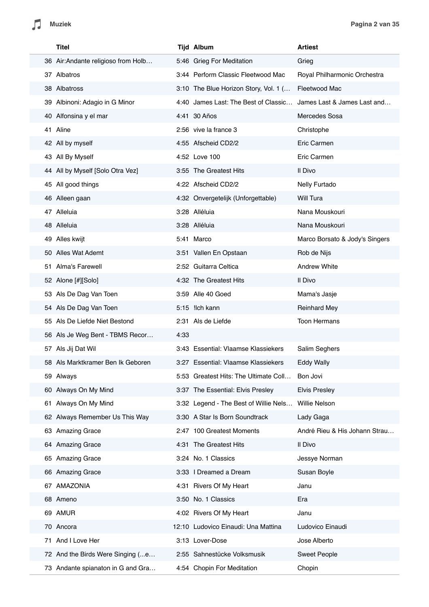Л

|    | <b>Titel</b>                       |      | <b>Tijd Album</b>                     | <b>Artiest</b>                 |
|----|------------------------------------|------|---------------------------------------|--------------------------------|
|    | 36 Air:Andante religioso from Holb |      | 5:46 Grieg For Meditation             | Grieg                          |
|    | 37 Albatros                        |      | 3:44 Perform Classic Fleetwood Mac    | Royal Philharmonic Orchestra   |
|    | 38 Albatross                       |      | 3:10 The Blue Horizon Story, Vol. 1 ( | Fleetwood Mac                  |
|    | 39 Albinoni: Adagio in G Minor     |      | 4:40 James Last: The Best of Classic  | James Last & James Last and    |
|    | 40 Alfonsina y el mar              |      | 4:41 30 Años                          | Mercedes Sosa                  |
|    | 41 Aline                           |      | 2:56 vive la france 3                 | Christophe                     |
|    | 42 All by myself                   |      | 4:55 Afscheid CD2/2                   | Eric Carmen                    |
|    | 43 All By Myself                   |      | 4:52 Love 100                         | Eric Carmen                    |
|    | 44 All by Myself [Solo Otra Vez]   |      | 3:55 The Greatest Hits                | Il Divo                        |
|    | 45 All good things                 |      | 4:22 Afscheid CD2/2                   | Nelly Furtado                  |
|    | 46 Alleen gaan                     |      | 4:32 Onvergetelijk (Unforgettable)    | Will Tura                      |
|    | 47 Alleluia                        |      | 3:28 Alléluia                         | Nana Mouskouri                 |
|    | 48 Alleluia                        |      | 3:28 Alléluia                         | Nana Mouskouri                 |
|    | 49 Alles kwijt                     |      | 5:41 Marco                            | Marco Borsato & Jody's Singers |
|    | 50 Alles Wat Ademt                 |      | 3:51 Vallen En Opstaan                | Rob de Nijs                    |
|    | 51 Alma's Farewell                 |      | 2:52 Guitarra Celtica                 | <b>Andrew White</b>            |
|    | 52 Alone [#][Solo]                 |      | 4:32 The Greatest Hits                | Il Divo                        |
|    | 53 Als De Dag Van Toen             |      | 3:59 Alle 40 Goed                     | Mama's Jasje                   |
|    | 54 Als De Dag Van Toen             |      | 5:15 llch kann                        | <b>Reinhard Mey</b>            |
|    | 55 Als De Liefde Niet Bestond      |      | 2:31 Als de Liefde                    | <b>Toon Hermans</b>            |
|    | 56 Als Je Weg Bent - TBMS Recor    | 4:33 |                                       |                                |
|    | 57 Als Jij Dat Wil                 |      | 3:43 Essential: Vlaamse Klassiekers   | Salim Seghers                  |
|    | 58 Als Marktkramer Ben Ik Geboren  |      | 3:27 Essential: Vlaamse Klassiekers   | <b>Eddy Wally</b>              |
|    | 59 Always                          |      | 5:53 Greatest Hits: The Ultimate Coll | Bon Jovi                       |
|    | 60 Always On My Mind               |      | 3:37 The Essential: Elvis Presley     | <b>Elvis Presley</b>           |
| 61 | Always On My Mind                  |      | 3:32 Legend - The Best of Willie Nels | <b>Willie Nelson</b>           |
|    | 62 Always Remember Us This Way     |      | 3:30 A Star Is Born Soundtrack        | Lady Gaga                      |
|    | 63 Amazing Grace                   |      | 2:47 100 Greatest Moments             | André Rieu & His Johann Strau  |
|    | 64 Amazing Grace                   |      | 4:31 The Greatest Hits                | Il Divo                        |
|    | 65 Amazing Grace                   |      | 3:24 No. 1 Classics                   | Jessye Norman                  |
|    | 66 Amazing Grace                   |      | 3:33   Dreamed a Dream                | Susan Boyle                    |
|    | 67 AMAZONIA                        |      | 4:31 Rivers Of My Heart               | Janu                           |
|    | 68 Ameno                           |      | 3:50 No. 1 Classics                   | Era                            |
|    | 69 AMUR                            |      | 4:02 Rivers Of My Heart               | Janu                           |
|    | 70 Ancora                          |      | 12:10 Ludovico Einaudi: Una Mattina   | Ludovico Einaudi               |
| 71 | And I Love Her                     |      | 3:13 Lover-Dose                       | Jose Alberto                   |
|    | 72 And the Birds Were Singing (e   |      | 2:55 Sahnestücke Volksmusik           | <b>Sweet People</b>            |
|    | 73 Andante spianaton in G and Gra  |      | 4:54 Chopin For Meditation            | Chopin                         |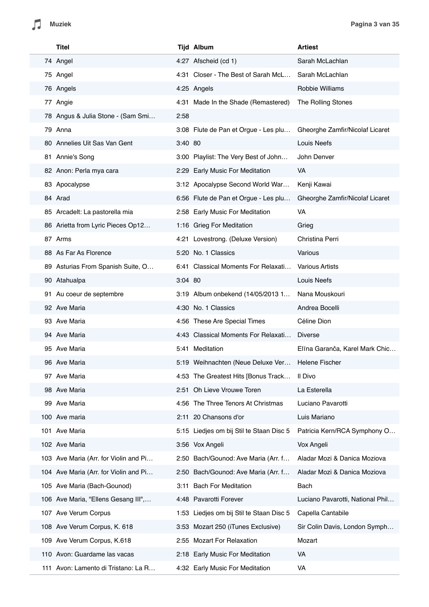|     | <b>Titel</b>                          |           | <b>Tijd Album</b>                        | <b>Artiest</b>                   |
|-----|---------------------------------------|-----------|------------------------------------------|----------------------------------|
|     | 74 Angel                              |           | 4:27 Afscheid (cd 1)                     | Sarah McLachlan                  |
|     | 75 Angel                              |           | 4:31 Closer - The Best of Sarah McL      | Sarah McLachlan                  |
|     | 76 Angels                             |           | 4:25 Angels                              | Robbie Williams                  |
|     | 77 Angie                              |           | 4:31 Made In the Shade (Remastered)      | The Rolling Stones               |
|     | 78 Angus & Julia Stone - (Sam Smi     | 2:58      |                                          |                                  |
|     | 79 Anna                               |           | 3:08 Flute de Pan et Orgue - Les plu     | Gheorghe Zamfir/Nicolaf Licaret  |
|     | 80 Annelies Uit Sas Van Gent          | 3:40 80   |                                          | Louis Neefs                      |
|     | 81 Annie's Song                       |           | 3:00 Playlist: The Very Best of John     | John Denver                      |
|     | 82 Anon: Perla mya cara               |           | 2:29 Early Music For Meditation          | VA                               |
|     | 83 Apocalypse                         |           | 3:12 Apocalypse Second World War         | Kenji Kawai                      |
|     | 84 Arad                               |           | 6:56 Flute de Pan et Orgue - Les plu     | Gheorghe Zamfir/Nicolaf Licaret  |
|     | 85 Arcadelt: La pastorella mia        |           | 2:58 Early Music For Meditation          | VA.                              |
|     | 86 Arietta from Lyric Pieces Op12     |           | 1:16 Grieg For Meditation                | Grieg                            |
|     | 87 Arms                               |           | 4:21 Lovestrong. (Deluxe Version)        | Christina Perri                  |
|     | 88 As Far As Florence                 |           | 5:20 No. 1 Classics                      | Various                          |
|     | 89 Asturias From Spanish Suite, O     |           | 6:41 Classical Moments For Relaxati      | <b>Various Artists</b>           |
|     | 90 Atahualpa                          | $3:04$ 80 |                                          | Louis Neefs                      |
|     | 91 Au coeur de septembre              |           | 3:19 Album onbekend (14/05/2013 1        | Nana Mouskouri                   |
|     | 92 Ave Maria                          |           | 4:30 No. 1 Classics                      | Andrea Bocelli                   |
|     | 93 Ave Maria                          |           | 4:56 These Are Special Times             | Céline Dion                      |
|     | 94 Ave Maria                          |           | 4:43 Classical Moments For Relaxati      | <b>Diverse</b>                   |
|     | 95 Ave Maria                          |           | 5:41 Meditation                          | Elīna Garanča, Karel Mark Chic   |
|     | 96 Ave Maria                          |           | 5:19 Weihnachten (Neue Deluxe Ver        | Helene Fischer                   |
|     | 97 Ave Maria                          |           | 4:53 The Greatest Hits [Bonus Track      | Il Divo                          |
|     | 98 Ave Maria                          |           | 2:51 Oh Lieve Vrouwe Toren               | La Esterella                     |
|     | 99 Ave Maria                          | 4:56      | The Three Tenors At Christmas            | Luciano Pavarotti                |
|     | 100 Ave maria                         | 2:11      | 20 Chansons d'or                         | Luis Mariano                     |
|     | 101 Ave Maria                         |           | 5:15 Liedjes om bij Stil te Staan Disc 5 | Patricia Kern/RCA Symphony O     |
|     | 102 Ave Maria                         |           | 3:56 Vox Angeli                          | Vox Angeli                       |
|     | 103 Ave Maria (Arr. for Violin and Pi |           | 2:50 Bach/Gounod: Ave Maria (Arr. f      | Aladar Mozi & Danica Moziova     |
|     | 104 Ave Maria (Arr. for Violin and Pi |           | 2:50 Bach/Gounod: Ave Maria (Arr. f      | Aladar Mozi & Danica Moziova     |
|     | 105 Ave Maria (Bach-Gounod)           | 3:11      | <b>Bach For Meditation</b>               | Bach                             |
|     | 106 Ave Maria, "Ellens Gesang III",   |           | 4:48 Pavarotti Forever                   | Luciano Pavarotti, National Phil |
|     | 107 Ave Verum Corpus                  |           | 1:53 Liedjes om bij Stil te Staan Disc 5 | Capella Cantabile                |
|     | 108 Ave Verum Corpus, K. 618          |           | 3:53 Mozart 250 (iTunes Exclusive)       | Sir Colin Davis, London Symph    |
|     | 109 Ave Verum Corpus, K.618           |           | 2:55 Mozart For Relaxation               | Mozart                           |
|     | 110 Avon: Guardame las vacas          |           | 2:18 Early Music For Meditation          | VA                               |
| 111 | Avon: Lamento di Tristano: La R       |           | 4:32 Early Music For Meditation          | VA                               |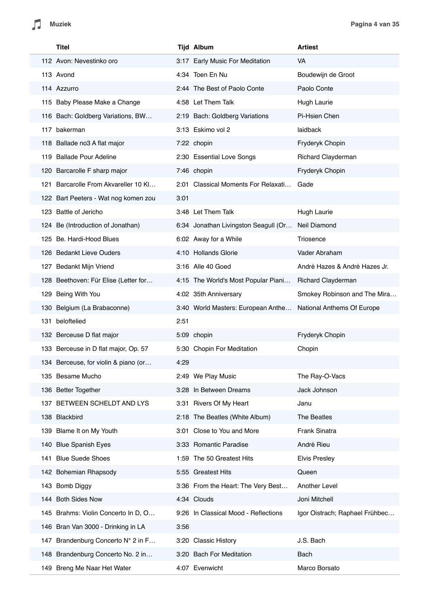| Titel                                |      | <b>Tijd Album</b>                                             | <b>Artiest</b>                 |
|--------------------------------------|------|---------------------------------------------------------------|--------------------------------|
| 112 Avon: Nevestinko oro             |      | 3:17 Early Music For Meditation                               | VA                             |
| 113 Avond                            |      | 4:34 Toen En Nu                                               | Boudewijn de Groot             |
| 114 Azzurro                          |      | 2:44 The Best of Paolo Conte                                  | Paolo Conte                    |
| 115 Baby Please Make a Change        |      | 4:58 Let Them Talk                                            | Hugh Laurie                    |
| 116 Bach: Goldberg Variations, BW    |      | 2:19 Bach: Goldberg Variations                                | Pi-Hsien Chen                  |
| 117 bakerman                         |      | 3:13 Eskimo vol 2                                             | laidback                       |
| 118 Ballade no3 A flat major         |      | 7:22 chopin                                                   | Fryderyk Chopin                |
| 119 Ballade Pour Adeline             |      | 2:30 Essential Love Songs                                     | Richard Clayderman             |
| 120 Barcarolle F sharp major         |      | 7:46 chopin                                                   | Fryderyk Chopin                |
| 121 Barcarolle From Akvareller 10 Kl |      | 2:01 Classical Moments For Relaxati                           | Gade                           |
| 122 Bart Peeters - Wat nog komen zou | 3:01 |                                                               |                                |
| 123 Battle of Jericho                |      | 3:48 Let Them Talk                                            | Hugh Laurie                    |
| 124 Be (Introduction of Jonathan)    |      | 6:34 Jonathan Livingston Seagull (Or                          | Neil Diamond                   |
| 125 Be. Hardi-Hood Blues             |      | 6:02 Away for a While                                         | Triosence                      |
| 126 Bedankt Lieve Ouders             |      | 4:10 Hollands Glorie                                          | Vader Abraham                  |
| 127 Bedankt Mijn Vriend              |      | 3:16 Alle 40 Goed                                             | André Hazes & André Hazes Jr.  |
| 128 Beethoven: Für Elise (Letter for |      | 4:15 The World's Most Popular Piani                           | Richard Clayderman             |
| 129 Being With You                   |      | 4:02 35th Anniversary                                         | Smokey Robinson and The Mira   |
| 130 Belgium (La Brabaconne)          |      | 3:40 World Masters: European Anthe National Anthems Of Europe |                                |
| 131 beloftelied                      | 2:51 |                                                               |                                |
| 132 Berceuse D flat major            |      | 5:09 chopin                                                   | Fryderyk Chopin                |
| 133 Berceuse in D flat major, Op. 57 |      | 5:30 Chopin For Meditation                                    | Chopin                         |
| 134 Berceuse, for violin & piano (or | 4:29 |                                                               |                                |
| 135 Besame Mucho                     |      | 2:49 We Play Music                                            | The Ray-O-Vacs                 |
| 136 Better Together                  |      | 3:28 In Between Dreams                                        | Jack Johnson                   |
| 137 BETWEEN SCHELDT AND LYS          |      | 3:31 Rivers Of My Heart                                       | Janu                           |
| 138 Blackbird                        |      | 2:18 The Beatles (White Album)                                | The Beatles                    |
| 139 Blame It on My Youth             |      | 3:01 Close to You and More                                    | Frank Sinatra                  |
| 140 Blue Spanish Eyes                |      | 3:33 Romantic Paradise                                        | André Rieu                     |
| <b>Blue Suede Shoes</b><br>141       |      | 1:59 The 50 Greatest Hits                                     | <b>Elvis Presley</b>           |
| 142 Bohemian Rhapsody                |      | 5:55 Greatest Hits                                            | Queen                          |
| 143 Bomb Diggy                       |      | 3:36 From the Heart: The Very Best                            | Another Level                  |
| 144 Both Sides Now                   |      | 4:34 Clouds                                                   | Joni Mitchell                  |
| 145 Brahms: Violin Concerto In D, O  |      | 9:26 In Classical Mood - Reflections                          | Igor Oistrach; Raphael Frühbec |
| 146 Bran Van 3000 - Drinking in LA   | 3:56 |                                                               |                                |
| 147 Brandenburg Concerto N° 2 in F   |      | 3:20 Classic History                                          | J.S. Bach                      |
| 148 Brandenburg Concerto No. 2 in    |      | 3:20 Bach For Meditation                                      | Bach                           |
| 149 Breng Me Naar Het Water          |      | 4:07 Evenwicht                                                | Marco Borsato                  |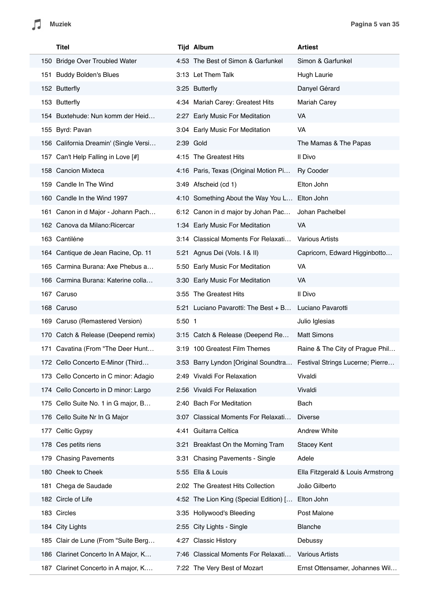| Titel                                 |          | <b>Tijd Album</b>                      | <b>Artiest</b>                    |
|---------------------------------------|----------|----------------------------------------|-----------------------------------|
| 150 Bridge Over Troubled Water        |          | 4:53 The Best of Simon & Garfunkel     | Simon & Garfunkel                 |
| 151 Buddy Bolden's Blues              |          | 3:13 Let Them Talk                     | Hugh Laurie                       |
| 152 Butterfly                         |          | 3:25 Butterfly                         | Danyel Gérard                     |
| 153 Butterfly                         |          | 4:34 Mariah Carey: Greatest Hits       | <b>Mariah Carey</b>               |
| 154 Buxtehude: Nun komm der Heid      |          | 2:27 Early Music For Meditation        | VA                                |
| 155 Byrd: Pavan                       |          | 3:04 Early Music For Meditation        | VA                                |
| 156 California Dreamin' (Single Versi |          | 2:39 Gold                              | The Mamas & The Papas             |
| 157 Can't Help Falling in Love [#]    |          | 4:15 The Greatest Hits                 | Il Divo                           |
| 158 Cancion Mixteca                   |          | 4:16 Paris, Texas (Original Motion Pi  | <b>Ry Cooder</b>                  |
| 159 Candle In The Wind                |          | 3:49 Afscheid (cd 1)                   | Elton John                        |
| 160 Candle In the Wind 1997           |          | 4:10 Something About the Way You L     | Elton John                        |
| 161 Canon in d Major - Johann Pach    |          | 6:12 Canon in d major by Johan Pac     | Johan Pachelbel                   |
| 162 Canova da Milano: Ricercar        |          | 1:34 Early Music For Meditation        | VA                                |
| 163 Cantiléne                         |          | 3:14 Classical Moments For Relaxati    | <b>Various Artists</b>            |
| 164 Cantique de Jean Racine, Op. 11   |          | 5:21 Agnus Dei (Vols. I & II)          | Capricorn, Edward Higginbotto     |
| 165 Carmina Burana: Axe Phebus a      |          | 5:50 Early Music For Meditation        | VA                                |
| 166 Carmina Burana: Katerine colla    |          | 3:30 Early Music For Meditation        | VA                                |
| 167 Caruso                            |          | 3:55 The Greatest Hits                 | Il Divo                           |
| 168 Caruso                            |          | 5:21 Luciano Pavarotti: The Best + B   | Luciano Pavarotti                 |
| 169 Caruso (Remastered Version)       | $5:50$ 1 |                                        | Julio Iglesias                    |
| 170 Catch & Release (Deepend remix)   |          | 3:15 Catch & Release (Deepend Re       | <b>Matt Simons</b>                |
| 171 Cavatina (From "The Deer Hunt     |          | 3:19 100 Greatest Film Themes          | Raine & The City of Prague Phil   |
| 172 Cello Concerto E-Minor (Third     |          | 3:53 Barry Lyndon [Original Soundtra   | Festival Strings Lucerne; Pierre  |
| 173 Cello Concerto in C minor: Adagio |          | 2:49 Vivaldi For Relaxation            | Vivaldi                           |
| 174 Cello Concerto in D minor: Largo  |          | 2:56 Vivaldi For Relaxation            | Vivaldi                           |
| 175 Cello Suite No. 1 in G major, B   |          | 2:40 Bach For Meditation               | Bach                              |
| 176 Cello Suite Nr In G Major         |          | 3:07 Classical Moments For Relaxati    | <b>Diverse</b>                    |
| 177 Celtic Gypsy                      |          | 4:41 Guitarra Celtica                  | Andrew White                      |
| 178 Ces petits riens                  |          | 3:21 Breakfast On the Morning Tram     | <b>Stacey Kent</b>                |
| 179 Chasing Pavements                 |          | 3:31 Chasing Pavements - Single        | Adele                             |
| 180 Cheek to Cheek                    |          | 5:55 Ella & Louis                      | Ella Fitzgerald & Louis Armstrong |
| 181 Chega de Saudade                  |          | 2:02 The Greatest Hits Collection      | João Gilberto                     |
| 182 Circle of Life                    |          | 4:52 The Lion King (Special Edition) [ | Elton John                        |
| 183 Circles                           |          | 3:35 Hollywood's Bleeding              | Post Malone                       |
| 184 City Lights                       |          | 2:55 City Lights - Single              | Blanche                           |
| 185 Clair de Lune (From "Suite Berg   |          | 4:27 Classic History                   | Debussy                           |
| 186 Clarinet Concerto In A Major, K   |          | 7:46 Classical Moments For Relaxati    | <b>Various Artists</b>            |
| 187 Clarinet Concerto in A major, K   |          | 7:22 The Very Best of Mozart           | Ernst Ottensamer, Johannes Wil    |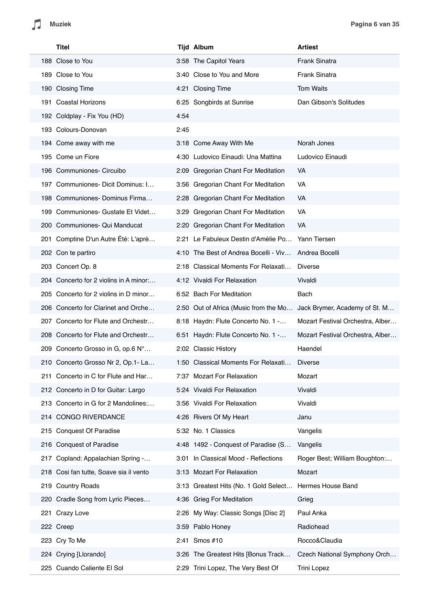$\sqrt{2}$ 

I

|     | <b>Titel</b>                           |      | <b>Tijd Album</b>                     | <b>Artiest</b>                   |
|-----|----------------------------------------|------|---------------------------------------|----------------------------------|
|     | 188 Close to You                       |      | 3:58 The Capitol Years                | Frank Sinatra                    |
|     | 189 Close to You                       |      | 3:40 Close to You and More            | <b>Frank Sinatra</b>             |
|     | 190 Closing Time                       |      | 4:21 Closing Time                     | <b>Tom Waits</b>                 |
| 191 | <b>Coastal Horizons</b>                |      | 6:25 Songbirds at Sunrise             | Dan Gibson's Solitudes           |
|     | 192 Coldplay - Fix You (HD)            | 4:54 |                                       |                                  |
|     | 193 Colours-Donovan                    | 2:45 |                                       |                                  |
|     | 194 Come away with me                  |      | 3:18 Come Away With Me                | Norah Jones                      |
|     | 195 Come un Fiore                      |      | 4:30 Ludovico Einaudi: Una Mattina    | Ludovico Einaudi                 |
|     | 196 Communiones- Circuibo              |      | 2:09 Gregorian Chant For Meditation   | VA                               |
| 197 | Communiones- Dicit Dominus: I          |      | 3:56 Gregorian Chant For Meditation   | VA                               |
|     | 198 Communiones-Dominus Firma          |      | 2:28 Gregorian Chant For Meditation   | VA.                              |
| 199 | Communiones- Gustate Et Videt          | 3:29 | <b>Gregorian Chant For Meditation</b> | VA                               |
|     | 200 Communiones- Qui Manducat          |      | 2:20 Gregorian Chant For Meditation   | VA                               |
| 201 | Comptine D'un Autre Été: L'aprè        |      | 2:21 Le Fabuleux Destin d'Amélie Po   | Yann Tiersen                     |
|     | 202 Con te partiro                     |      | 4:10 The Best of Andrea Bocelli - Viv | Andrea Bocelli                   |
|     | 203 Concert Op. 8                      |      | 2:18 Classical Moments For Relaxati   | <b>Diverse</b>                   |
|     | 204 Concerto for 2 violins in A minor: |      | 4:12 Vivaldi For Relaxation           | Vivaldi                          |
|     | 205 Concerto for 2 violins in D minor  |      | 6:52 Bach For Meditation              | Bach                             |
|     | 206 Concerto for Clarinet and Orche    |      | 2:50 Out of Africa (Music from the Mo | Jack Brymer, Academy of St. M    |
|     | 207 Concerto for Flute and Orchestr    |      | 8:18 Haydn: Flute Concerto No. 1 -    | Mozart Festival Orchestra, Alber |
|     | 208 Concerto for Flute and Orchestr    |      | 6:51 Haydn: Flute Concerto No. 1 -    | Mozart Festival Orchestra, Alber |
|     | 209 Concerto Grosso in G, op.6 N°      |      | 2:02 Classic History                  | Haendel                          |
|     | 210 Concerto Grosso Nr 2, Op.1- La     |      | 1:50 Classical Moments For Relaxati   | <b>Diverse</b>                   |
|     | 211 Concerto in C for Flute and Har    |      | 7:37 Mozart For Relaxation            | Mozart                           |
|     | 212 Concerto in D for Guitar: Largo    |      | 5:24 Vivaldi For Relaxation           | Vivaldi                          |
|     | 213 Concerto in G for 2 Mandolines     |      | 3:56 Vivaldi For Relaxation           | Vivaldi                          |
|     | 214 CONGO RIVERDANCE                   |      | 4:26 Rivers Of My Heart               | Janu                             |
| 215 | <b>Conquest Of Paradise</b>            |      | 5:32 No. 1 Classics                   | Vangelis                         |
|     | 216 Conquest of Paradise               |      | 4:48 1492 - Conquest of Paradise (S   | Vangelis                         |
| 217 | Copland: Appalachian Spring -          |      | 3:01 In Classical Mood - Reflections  | Roger Best; William Boughton:    |
|     | 218 Cosi fan tutte, Soave sia il vento |      | 3:13 Mozart For Relaxation            | Mozart                           |
|     | 219 Country Roads                      |      | 3:13 Greatest Hits (No. 1 Gold Select | Hermes House Band                |
|     | 220 Cradle Song from Lyric Pieces      |      | 4:36 Grieg For Meditation             | Grieg                            |
| 221 | Crazy Love                             |      | 2:26 My Way: Classic Songs [Disc 2]   | Paul Anka                        |
|     | 222 Creep                              |      | 3:59 Pablo Honey                      | Radiohead                        |
|     | 223 Cry To Me                          |      | 2:41 Smos #10                         | Rocco&Claudia                    |
|     | 224 Crying [Llorando]                  |      | 3:26 The Greatest Hits [Bonus Track   | Czech National Symphony Orch     |
|     | 225 Cuando Caliente El Sol             |      | 2:29 Trini Lopez, The Very Best Of    | <b>Trini Lopez</b>               |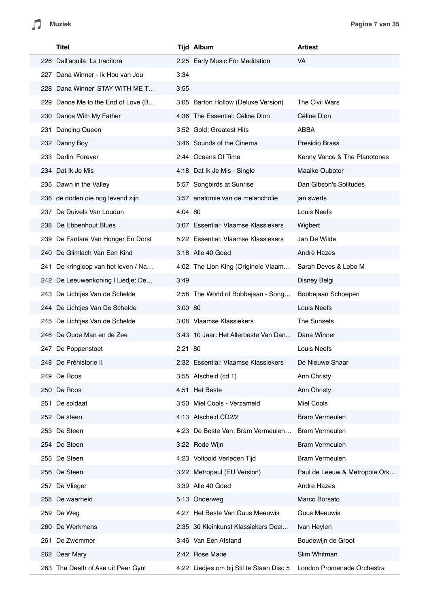|      | Titel                              |           | <b>Tijd Album</b>                        | <b>Artiest</b>                |
|------|------------------------------------|-----------|------------------------------------------|-------------------------------|
|      | 226 Dall'aquila: La traditora      |           | 2:25 Early Music For Meditation          | VA.                           |
| 227  | Dana Winner - Ik Hou van Jou       | 3:34      |                                          |                               |
|      | 228 Dana Winner' STAY WITH ME T    | 3:55      |                                          |                               |
| 229. | Dance Me to the End of Love (B     |           | 3:05 Barton Hollow (Deluxe Version)      | The Civil Wars                |
|      | 230 Dance With My Father           |           | 4:36 The Essential: Céline Dion          | Céline Dion                   |
|      | 231 Dancing Queen                  |           | 3:52 Gold: Greatest Hits                 | <b>ABBA</b>                   |
|      | 232 Danny Boy                      |           | 3:46 Sounds of the Cinema                | <b>Presidio Brass</b>         |
|      | 233 Darlin' Forever                |           | 2:44 Oceans Of Time                      | Kenny Vance & The Planotones  |
|      | 234 Dat Ik Je Mis                  |           | 4:18 Dat Ik Je Mis - Single              | Maaike Ouboter                |
|      | 235 Dawn in the Valley             |           | 5:57 Songbirds at Sunrise                | Dan Gibson's Solitudes        |
|      | 236 de doden die nog levend zijn   |           | 3:57 anatomie van de melancholie         | jan swerts                    |
|      | 237 De Duivels Van Loudun          | 4:04 80   |                                          | Louis Neefs                   |
|      | 238 De Ebbenhout Blues             |           | 3:07 Essential: Vlaamse Klassiekers      | Wigbert                       |
| 239  | De Fanfare Van Honger En Dorst     |           | 5:22 Essential: Vlaamse Klassiekers      | Jan De Wilde                  |
|      | 240 De Glimlach Van Een Kind       |           | 3:18 Alle 40 Goed                        | André Hazes                   |
| 241  | De kringloop van het leven / Na    |           | 4:02 The Lion King (Originele Vlaam      | Sarah Devos & Lebo M          |
|      | 242 De Leeuwenkoning I Liedje: De  | 3:49      |                                          | Disney Belgi                  |
|      | 243 De Lichtjes Van de Schelde     |           | 2:58 The World of Bobbejaan - Song       | Bobbejaan Schoepen            |
|      | 244 De Lichtjes Van De Schelde     | $3:00$ 80 |                                          | Louis Neefs                   |
|      | 245 De Lichtjes Van de Schelde     |           | 3:08 Vlaamse Klassiekers                 | The Sunsets                   |
|      | 246 De Oude Man en de Zee          |           | 3:43 10 Jaar: Het Allerbeste Van Dan     | Dana Winner                   |
| 247  | De Poppenstoet                     | 2:21 80   |                                          | Louis Neefs                   |
|      | 248 De Préhistorie II              |           | 2:32 Essential: Vlaamse Klassiekers      | De Nieuwe Snaar               |
|      | 249 De Roos                        |           | 3:55 Afscheid (cd 1)                     | Ann Christy                   |
|      | 250 De Roos                        |           | 4:51 Het Beste                           | Ann Christy                   |
| 251  | De soldaat                         |           | 3:50 Miel Cools - Verzameld              | Miel Cools                    |
|      | 252 De steen                       |           | 4:13 Afscheid CD2/2                      | <b>Bram Vermeulen</b>         |
|      | 253 De Steen                       |           | 4:23 De Beste Van: Bram Vermeulen        | <b>Bram Vermeulen</b>         |
|      | 254 De Steen                       |           | 3:22 Rode Wijn                           | <b>Bram Vermeulen</b>         |
|      | 255 De Steen                       |           | 4:23 Voltooid Verleden Tijd              | <b>Bram Vermeulen</b>         |
|      | 256 De Steen                       |           | 3:22 Metropaul (EU Version)              | Paul de Leeuw & Metropole Ork |
|      | 257 De Vlieger                     |           | 3:39 Alle 40 Goed                        | <b>Andre Hazes</b>            |
|      | 258 De waarheid                    |           | 5:13 Onderweg                            | Marco Borsato                 |
| 259  | De Weg                             |           | 4:27 Het Beste Van Guus Meeuwis          | <b>Guus Meeuwis</b>           |
|      | 260 De Werkmens                    |           | 2:35 30 Kleinkunst Klassiekers Deel      | Ivan Heylen                   |
|      | 261 De Zwemmer                     |           | 3:46 Van Een Afstand                     | Boudewijn de Groot            |
|      | 262 Dear Mary                      |           | 2:42 Rose Marie                          | Slim Whitman                  |
|      | 263 The Death of Ase uit Peer Gynt |           | 4:22 Liedjes om bij Stil te Staan Disc 5 | London Promenade Orchestra    |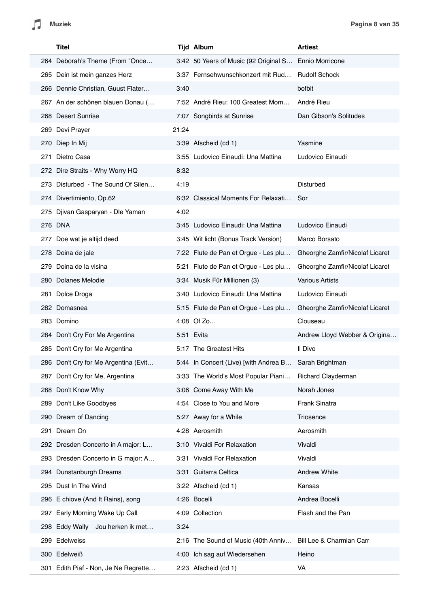| Titel                                |       | <b>Tijd Album</b>                                     | <b>Artiest</b>                  |
|--------------------------------------|-------|-------------------------------------------------------|---------------------------------|
| 264 Deborah's Theme (From "Once      |       | 3:42 50 Years of Music (92 Original S Ennio Morricone |                                 |
| 265 Dein ist mein ganzes Herz        |       | 3:37 Fernsehwunschkonzert mit Rud                     | <b>Rudolf Schock</b>            |
| 266 Dennie Christian, Guust Flater   | 3:40  |                                                       | bofbit                          |
| 267 An der schönen blauen Donau (    |       | 7:52 André Rieu: 100 Greatest Mom                     | André Rieu                      |
| 268 Desert Sunrise                   |       | 7:07 Songbirds at Sunrise                             | Dan Gibson's Solitudes          |
| 269 Devi Prayer                      | 21:24 |                                                       |                                 |
| 270 Diep In Mij                      |       | 3:39 Afscheid (cd 1)                                  | Yasmine                         |
| Dietro Casa<br>271                   |       | 3:55 Ludovico Einaudi: Una Mattina                    | Ludovico Einaudi                |
| 272 Dire Straits - Why Worry HQ      | 8:32  |                                                       |                                 |
| 273 Disturbed - The Sound Of Silen   | 4:19  |                                                       | Disturbed                       |
| 274 Divertimiento, Op.62             |       | 6:32 Classical Moments For Relaxati                   | Sor                             |
| 275 Djivan Gasparyan - Dle Yaman     | 4:02  |                                                       |                                 |
| 276 DNA                              |       | 3:45 Ludovico Einaudi: Una Mattina                    | Ludovico Einaudi                |
| 277 Doe wat je altijd deed           |       | 3:45 Wit licht (Bonus Track Version)                  | Marco Borsato                   |
| 278 Doina de jale                    |       | 7:22 Flute de Pan et Orgue - Les plu                  | Gheorghe Zamfir/Nicolaf Licaret |
| 279 Doina de la visina               |       | 5:21 Flute de Pan et Orgue - Les plu                  | Gheorghe Zamfir/Nicolaf Licaret |
| 280 Dolanes Melodie                  |       | 3:34 Musik Für Millionen (3)                          | <b>Various Artists</b>          |
| 281 Dolce Droga                      |       | 3:40 Ludovico Einaudi: Una Mattina                    | Ludovico Einaudi                |
| 282 Domasnea                         |       | 5:15 Flute de Pan et Orgue - Les plu                  | Gheorghe Zamfir/Nicolaf Licaret |
| 283 Domino                           |       | 4:08 Of Zo                                            | Clouseau                        |
| 284 Don't Cry For Me Argentina       |       | 5:51 Evita                                            | Andrew Lloyd Webber & Origina   |
| 285 Don't Cry for Me Argentina       |       | 5:17 The Greatest Hits                                | Il Divo                         |
| 286 Don't Cry for Me Argentina (Evit |       | 5:44 In Concert (Live) [with Andrea B                 | Sarah Brightman                 |
| 287 Don't Cry for Me, Argentina      |       | 3:33 The World's Most Popular Piani                   | <b>Richard Clayderman</b>       |
| 288 Don't Know Why                   |       | 3:06 Come Away With Me                                | Norah Jones                     |
| 289 Don't Like Goodbyes              |       | 4:54 Close to You and More                            | Frank Sinatra                   |
| 290 Dream of Dancing                 |       | 5:27 Away for a While                                 | Triosence                       |
| Dream On<br>291                      |       | 4:28 Aerosmith                                        | Aerosmith                       |
| 292 Dresden Concerto in A major: L   |       | 3:10 Vivaldi For Relaxation                           | Vivaldi                         |
| 293 Dresden Concerto in G major: A   |       | 3:31 Vivaldi For Relaxation                           | Vivaldi                         |
| 294 Dunstanburgh Dreams              |       | 3:31 Guitarra Celtica                                 | <b>Andrew White</b>             |
| 295 Dust In The Wind                 |       | 3:22 Afscheid (cd 1)                                  | Kansas                          |
| 296 E chiove (And It Rains), song    |       | 4:26 Bocelli                                          | Andrea Bocelli                  |
| 297 Early Morning Wake Up Call       |       | 4:09 Collection                                       | Flash and the Pan               |
| 298 Eddy Wally Jou herken ik met     | 3:24  |                                                       |                                 |
| 299 Edelweiss                        |       | 2:16 The Sound of Music (40th Anniv                   | Bill Lee & Charmian Carr        |
| 300 Edelweiß                         |       | 4:00 Ich sag auf Wiedersehen                          | Heino                           |
| 301 Edith Piaf - Non, Je Ne Regrette |       | 2:23 Afscheid (cd 1)                                  | VA                              |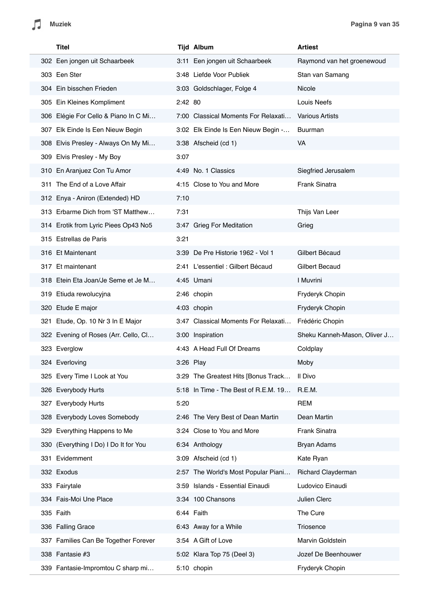Л

| Titel                                 |             | <b>Tijd Album</b>                    | <b>Artiest</b>               |
|---------------------------------------|-------------|--------------------------------------|------------------------------|
| 302 Een jongen uit Schaarbeek         |             | 3:11 Een jongen uit Schaarbeek       | Raymond van het groenewoud   |
| 303 Een Ster                          |             | 3:48 Liefde Voor Publiek             | Stan van Samang              |
| 304 Ein bisschen Frieden              |             | 3:03 Goldschlager, Folge 4           | <b>Nicole</b>                |
| 305 Ein Kleines Kompliment            | 2:42 80     |                                      | Louis Neefs                  |
| 306 Elégie For Cello & Piano In C Mi  |             | 7:00 Classical Moments For Relaxati  | <b>Various Artists</b>       |
| 307 Elk Einde Is Een Nieuw Begin      |             | 3:02 Elk Einde Is Een Nieuw Begin -  | Buurman                      |
| 308 Elvis Presley - Always On My Mi   |             | 3:38 Afscheid (cd 1)                 | <b>VA</b>                    |
| 309 Elvis Presley - My Boy            | 3:07        |                                      |                              |
| 310 En Aranjuez Con Tu Amor           |             | 4:49 No. 1 Classics                  | Siegfried Jerusalem          |
| 311 The End of a Love Affair          |             | 4:15 Close to You and More           | Frank Sinatra                |
| 312 Enya - Aniron (Extended) HD       | 7:10        |                                      |                              |
| 313 Erbarme Dich from 'ST Matthew     | 7:31        |                                      | Thijs Van Leer               |
| 314 Erotik from Lyric Piees Op43 No5  |             | 3:47 Grieg For Meditation            | Grieg                        |
| 315 Estrellas de Paris                | 3:21        |                                      |                              |
| 316 Et Maintenant                     |             | 3:39 De Pre Historie 1962 - Vol 1    | Gilbert Bécaud               |
| 317 Et maintenant                     |             | 2:41 L'essentiel : Gilbert Bécaud    | <b>Gilbert Becaud</b>        |
| 318 Etein Eta Joan/Je Seme et Je M    |             | 4:45 Umani                           | I Muvrini                    |
| 319 Etiuda rewolucyjna                |             | 2:46 chopin                          | Fryderyk Chopin              |
| 320 Etude E major                     |             | 4:03 chopin                          | Fryderyk Chopin              |
| 321 Etude, Op. 10 Nr 3 In E Major     |             | 3:47 Classical Moments For Relaxati  | Frédéric Chopin              |
| 322 Evening of Roses (Arr. Cello, Cl  |             | 3:00 Inspiration                     | Sheku Kanneh-Mason, Oliver J |
| 323 Everglow                          |             | 4:43 A Head Full Of Dreams           | Coldplay                     |
| 324 Everloving                        | $3:26$ Play |                                      | Moby                         |
| 325 Every Time I Look at You          |             | 3:29 The Greatest Hits [Bonus Track  | Il Divo                      |
| 326 Everybody Hurts                   |             | 5:18 In Time - The Best of R.E.M. 19 | R.E.M.                       |
| 327 Everybody Hurts                   | 5:20        |                                      | <b>REM</b>                   |
| 328 Everybody Loves Somebody          |             | 2:46 The Very Best of Dean Martin    | Dean Martin                  |
| 329 Everything Happens to Me          |             | 3:24 Close to You and More           | Frank Sinatra                |
| 330 (Everything I Do) I Do It for You |             | 6:34 Anthology                       | <b>Bryan Adams</b>           |
| 331 Evidemment                        |             | 3:09 Afscheid (cd 1)                 | Kate Ryan                    |
| 332 Exodus                            |             | 2:57 The World's Most Popular Piani  | Richard Clayderman           |
| 333 Fairytale                         |             | 3:59 Islands - Essential Einaudi     | Ludovico Einaudi             |
| 334 Fais-Moi Une Place                |             | 3:34 100 Chansons                    | Julien Clerc                 |
| 335 Faith                             |             | 6:44 Faith                           | The Cure                     |
| 336 Falling Grace                     |             | 6:43 Away for a While                | Triosence                    |
| 337 Families Can Be Together Forever  |             | 3:54 A Gift of Love                  | Marvin Goldstein             |
| 338 Fantasie #3                       |             | 5:02 Klara Top 75 (Deel 3)           | Jozef De Beenhouwer          |
| 339 Fantasie-Impromtou C sharp mi     |             | 5:10 chopin                          | Fryderyk Chopin              |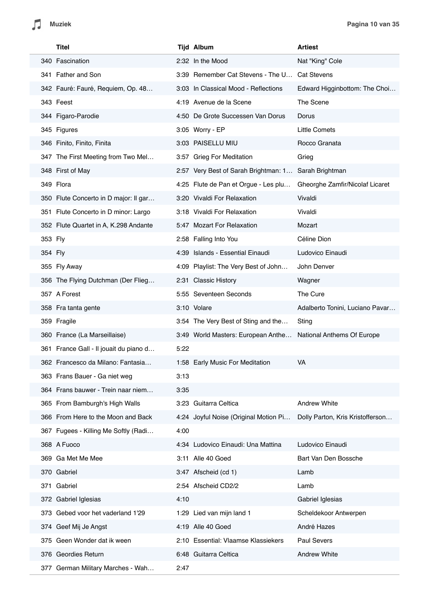L.

|         | <b>Titel</b>                           |      | <b>Tijd Album</b>                                    | <b>Artiest</b>                   |
|---------|----------------------------------------|------|------------------------------------------------------|----------------------------------|
|         | 340 Fascination                        |      | 2:32 In the Mood                                     | Nat "King" Cole                  |
|         | 341 Father and Son                     |      | 3:39 Remember Cat Stevens - The U                    | <b>Cat Stevens</b>               |
|         | 342 Fauré: Fauré, Requiem, Op. 48      |      | 3:03 In Classical Mood - Reflections                 | Edward Higginbottom: The Choi    |
|         | 343 Feest                              |      | 4:19 Avenue de la Scene                              | The Scene                        |
|         | 344 Figaro-Parodie                     |      | 4:50 De Grote Successen Van Dorus                    | Dorus                            |
|         | 345 Figures                            |      | 3:05 Worry - EP                                      | <b>Little Comets</b>             |
|         | 346 Finito, Finito, Finita             |      | 3:03 PAISELLU MIU                                    | Rocco Granata                    |
|         | 347 The First Meeting from Two Mel     |      | 3:57 Grieg For Meditation                            | Grieg                            |
|         | 348 First of May                       |      | 2:57 Very Best of Sarah Brightman: 1 Sarah Brightman |                                  |
|         | 349 Flora                              |      | 4:25 Flute de Pan et Orgue - Les plu                 | Gheorghe Zamfir/Nicolaf Licaret  |
|         | 350 Flute Concerto in D major: Il gar  |      | 3:20 Vivaldi For Relaxation                          | Vivaldi                          |
|         | 351 Flute Concerto in D minor: Largo   |      | 3:18 Vivaldi For Relaxation                          | Vivaldi                          |
|         | 352 Flute Quartet in A, K.298 Andante  |      | 5:47 Mozart For Relaxation                           | Mozart                           |
| 353 Fly |                                        |      | 2:58 Falling Into You                                | Céline Dion                      |
| 354 Fly |                                        |      | 4:39 Islands - Essential Einaudi                     | Ludovico Einaudi                 |
|         | 355 Fly Away                           |      | 4:09 Playlist: The Very Best of John                 | John Denver                      |
|         | 356 The Flying Dutchman (Der Flieg     |      | 2:31 Classic History                                 | Wagner                           |
|         | 357 A Forest                           |      | 5:55 Seventeen Seconds                               | The Cure                         |
|         | 358 Fra tanta gente                    |      | 3:10 Volare                                          | Adalberto Tonini, Luciano Pavar  |
|         | 359 Fragile                            |      | 3:54 The Very Best of Sting and the                  | Sting                            |
|         | 360 France (La Marseillaise)           |      | 3:49 World Masters: European Anthe                   | National Anthems Of Europe       |
|         | 361 France Gall - Il jouait du piano d | 5:22 |                                                      |                                  |
|         | 362 Francesco da Milano: Fantasia      |      | 1:58 Early Music For Meditation                      | VA                               |
|         | 363 Frans Bauer - Ga niet weg          | 3:13 |                                                      |                                  |
|         | 364 Frans bauwer - Trein naar niem     | 3:35 |                                                      |                                  |
|         | 365 From Bamburgh's High Walls         |      | 3:23 Guitarra Celtica                                | <b>Andrew White</b>              |
|         | 366 From Here to the Moon and Back     |      | 4:24 Joyful Noise (Original Motion Pi                | Dolly Parton, Kris Kristofferson |
|         | 367 Fugees - Killing Me Softly (Radi   | 4:00 |                                                      |                                  |
|         | 368 A Fuoco                            |      | 4:34 Ludovico Einaudi: Una Mattina                   | Ludovico Einaudi                 |
|         | 369 Ga Met Me Mee                      |      | 3:11 Alle 40 Goed                                    | Bart Van Den Bossche             |
|         | 370 Gabriel                            |      | 3:47 Afscheid (cd 1)                                 | Lamb                             |
|         | 371 Gabriel                            |      | 2:54 Afscheid CD2/2                                  | Lamb                             |
|         | 372 Gabriel Iglesias                   | 4:10 |                                                      | Gabriel Iglesias                 |
|         | 373 Gebed voor het vaderland 1'29      |      | 1:29 Lied van mijn land 1                            | Scheldekoor Antwerpen            |
|         | 374 Geef Mij Je Angst                  |      | 4:19 Alle 40 Goed                                    | André Hazes                      |
|         | 375 Geen Wonder dat ik ween            |      | 2:10 Essential: Vlaamse Klassiekers                  | <b>Paul Severs</b>               |
|         | 376 Geordies Return                    |      | 6:48 Guitarra Celtica                                | <b>Andrew White</b>              |
|         | 377 German Military Marches - Wah      | 2:47 |                                                      |                                  |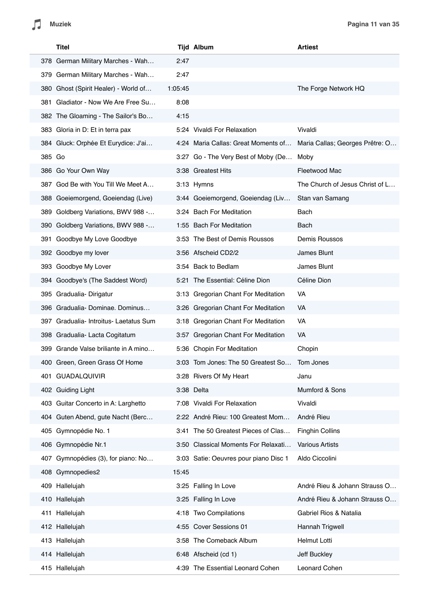|        | Titel                                |         | <b>Tijd Album</b>                     | <b>Artiest</b>                  |
|--------|--------------------------------------|---------|---------------------------------------|---------------------------------|
|        | 378 German Military Marches - Wah    | 2:47    |                                       |                                 |
| 379.   | German Military Marches - Wah        | 2:47    |                                       |                                 |
|        | 380 Ghost (Spirit Healer) - World of | 1:05:45 |                                       | The Forge Network HQ            |
|        | 381 Gladiator - Now We Are Free Su   | 8:08    |                                       |                                 |
|        | 382 The Gloaming - The Sailor's Bo   | 4:15    |                                       |                                 |
|        | 383 Gloria in D: Et in terra pax     |         | 5:24 Vivaldi For Relaxation           | Vivaldi                         |
|        | 384 Gluck: Orphée Et Eurydice: J'ai  |         | 4:24 Maria Callas: Great Moments of   | Maria Callas; Georges Prêtre: O |
| 385 Go |                                      |         | 3:27 Go - The Very Best of Moby (De   | Moby                            |
|        | 386 Go Your Own Way                  |         | 3:38 Greatest Hits                    | Fleetwood Mac                   |
|        | 387 God Be with You Till We Meet A   |         | 3:13 Hymns                            | The Church of Jesus Christ of L |
|        | 388 Goeiemorgend, Goeiendag (Live)   |         | 3:44 Goeiemorgend, Goeiendag (Liv     | Stan van Samang                 |
| 389    | Goldberg Variations, BWV 988 -       |         | 3:24 Bach For Meditation              | Bach                            |
|        | 390 Goldberg Variations, BWV 988 -   |         | 1:55 Bach For Meditation              | Bach                            |
| 391    | Goodbye My Love Goodbye              |         | 3:53 The Best of Demis Roussos        | Demis Roussos                   |
|        | 392 Goodbye my lover                 |         | 3:56 Afscheid CD2/2                   | James Blunt                     |
|        | 393 Goodbye My Lover                 |         | 3:54 Back to Bedlam                   | James Blunt                     |
|        | 394 Goodbye's (The Saddest Word)     |         | 5:21 The Essential: Céline Dion       | Céline Dion                     |
|        | 395 Gradualia- Dirigatur             |         | 3:13 Gregorian Chant For Meditation   | VA                              |
|        | 396 Gradualia-Dominae. Dominus       |         | 3:26 Gregorian Chant For Meditation   | VA                              |
| 397    | Gradualia- Introitus- Laetatus Sum   |         | 3:18 Gregorian Chant For Meditation   | VA                              |
|        | 398 Gradualia- Lacta Cogitatum       |         | 3:57 Gregorian Chant For Meditation   | VA                              |
|        | 399 Grande Valse briliante in A mino |         | 5:36 Chopin For Meditation            | Chopin                          |
|        | 400 Green, Green Grass Of Home       |         | 3:03 Tom Jones: The 50 Greatest So.   | Tom Jones                       |
|        | 401 GUADALQUIVIR                     |         | 3:28 Rivers Of My Heart               | Janu                            |
|        | 402 Guiding Light                    |         | 3:38 Delta                            | Mumford & Sons                  |
| 403    | Guitar Concerto in A: Larghetto      |         | 7:08 Vivaldi For Relaxation           | Vivaldi                         |
|        | 404 Guten Abend, gute Nacht (Berc    |         | 2:22 André Rieu: 100 Greatest Mom     | André Rieu                      |
|        | 405 Gymnopédie No. 1                 |         | 3:41 The 50 Greatest Pieces of Clas   | <b>Finghin Collins</b>          |
|        | 406 Gymnopédie Nr.1                  |         | 3:50 Classical Moments For Relaxati   | <b>Various Artists</b>          |
|        | 407 Gymnopédies (3), for piano: No   |         | 3:03 Satie: Oeuvres pour piano Disc 1 | Aldo Ciccolini                  |
|        | 408 Gymnopedies2                     | 15:45   |                                       |                                 |
|        | 409 Hallelujah                       |         | 3:25 Falling In Love                  | André Rieu & Johann Strauss O   |
|        | 410 Hallelujah                       |         | 3:25 Falling In Love                  | André Rieu & Johann Strauss O   |
|        | 411 Hallelujah                       |         | 4:18 Two Compilations                 | Gabriel Rios & Natalia          |
|        | 412 Hallelujah                       |         | 4:55 Cover Sessions 01                | Hannah Trigwell                 |
|        | 413 Hallelujah                       |         | 3:58 The Comeback Album               | Helmut Lotti                    |
|        | 414 Hallelujah                       |         | 6:48 Afscheid (cd 1)                  | Jeff Buckley                    |
|        | 415 Hallelujah                       |         | 4:39 The Essential Leonard Cohen      | Leonard Cohen                   |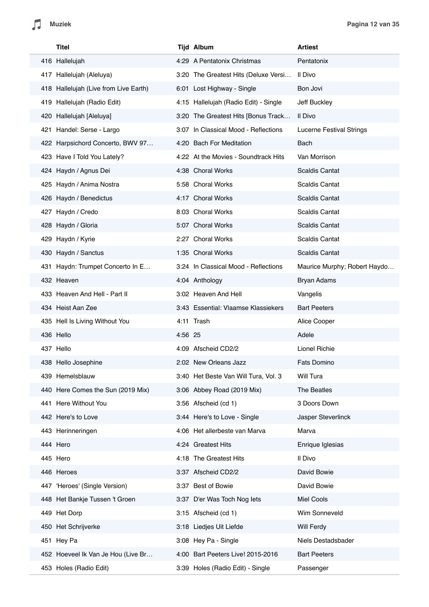| Titel                                 |         | <b>Tijd Album</b>                     | <b>Artiest</b>                  |
|---------------------------------------|---------|---------------------------------------|---------------------------------|
| 416 Hallelujah                        |         | 4:29 A Pentatonix Christmas           | Pentatonix                      |
| 417 Hallelujah (Aleluya)              |         | 3:20 The Greatest Hits (Deluxe Versi  | Il Divo                         |
| 418 Hallelujah (Live from Live Earth) |         | 6:01 Lost Highway - Single            | Bon Jovi                        |
| 419 Hallelujah (Radio Edit)           |         | 4:15 Hallelujah (Radio Edit) - Single | Jeff Buckley                    |
| 420 Hallelujah [Aleluya]              |         | 3:20 The Greatest Hits [Bonus Track   | Il Divo                         |
| 421 Handel: Serse - Largo             |         | 3:07 In Classical Mood - Reflections  | <b>Lucerne Festival Strings</b> |
| 422 Harpsichord Concerto, BWV 97      |         | 4:20 Bach For Meditation              | Bach                            |
| 423 Have I Told You Lately?           |         | 4:22 At the Movies - Soundtrack Hits  | Van Morrison                    |
| 424 Haydn / Agnus Dei                 |         | 4:38 Choral Works                     | <b>Scaldis Cantat</b>           |
| 425 Haydn / Anima Nostra              |         | 5:58 Choral Works                     | <b>Scaldis Cantat</b>           |
| 426 Haydn / Benedictus                |         | 4:17 Choral Works                     | <b>Scaldis Cantat</b>           |
| 427 Haydn / Credo                     |         | 8:03 Choral Works                     | Scaldis Cantat                  |
| 428 Haydn / Gloria                    |         | 5:07 Choral Works                     | Scaldis Cantat                  |
| 429 Haydn / Kyrie                     |         | 2:27 Choral Works                     | <b>Scaldis Cantat</b>           |
| 430 Haydn / Sanctus                   |         | 1:35 Choral Works                     | Scaldis Cantat                  |
| 431 Haydn: Trumpet Concerto In E      |         | 3:24 In Classical Mood - Reflections  | Maurice Murphy; Robert Haydo    |
| 432 Heaven                            |         | 4:04 Anthology                        | Bryan Adams                     |
| 433 Heaven And Hell - Part II         |         | 3:02 Heaven And Hell                  | Vangelis                        |
| 434 Heist Aan Zee                     |         | 3:43 Essential: Vlaamse Klassiekers   | <b>Bart Peeters</b>             |
| 435 Hell Is Living Without You        |         | 4:11 Trash                            | Alice Cooper                    |
| 436 Hello                             | 4:56 25 |                                       | Adele                           |
| 437 Hello                             |         | 4:09 Afscheid CD2/2                   | Lionel Richie                   |
| 438 Hello Josephine                   |         | 2:02 New Orleans Jazz                 | <b>Fats Domino</b>              |
| 439 Hemelsblauw                       |         | 3:40 Het Beste Van Will Tura, Vol. 3  | Will Tura                       |
| 440 Here Comes the Sun (2019 Mix)     |         | 3:06 Abbey Road (2019 Mix)            | The Beatles                     |
| 441 Here Without You                  |         | 3:56 Afscheid (cd 1)                  | 3 Doors Down                    |
| 442 Here's to Love                    |         | 3:44 Here's to Love - Single          | Jasper Steverlinck              |
| 443 Herinneringen                     |         | 4:06 Het allerbeste van Marva         | Marva                           |
| 444 Hero                              |         | 4:24 Greatest Hits                    | Enrique Iglesias                |
| 445 Hero                              |         | 4:18 The Greatest Hits                | Il Divo                         |
| 446 Heroes                            |         | 3:37 Afscheid CD2/2                   | David Bowie                     |
| 447 'Heroes' (Single Version)         |         | 3:37 Best of Bowie                    | David Bowie                     |
| 448 Het Bankje Tussen 't Groen        |         | 3:37 D'er Was Toch Nog lets           | Miel Cools                      |
| 449 Het Dorp                          |         | 3:15 Afscheid (cd 1)                  | Wim Sonneveld                   |
| 450 Het Schrijverke                   |         | 3:18 Liedjes Uit Liefde               | Will Ferdy                      |
| 451 Hey Pa                            |         | 3:08 Hey Pa - Single                  | Niels Destadsbader              |
| 452 Hoeveel Ik Van Je Hou (Live Br    |         | 4:00 Bart Peeters Live! 2015-2016     | <b>Bart Peeters</b>             |
| 453 Holes (Radio Edit)                |         | 3:39 Holes (Radio Edit) - Single      | Passenger                       |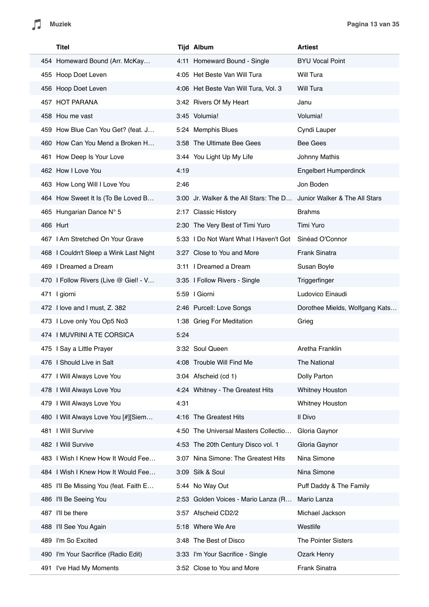| Titel                                  |      | <b>Tijd Album</b>                                                    | <b>Artiest</b>                 |
|----------------------------------------|------|----------------------------------------------------------------------|--------------------------------|
| 454 Homeward Bound (Arr. McKay         |      | 4:11 Homeward Bound - Single                                         | <b>BYU Vocal Point</b>         |
| 455 Hoop Doet Leven                    |      | 4:05 Het Beste Van Will Tura                                         | Will Tura                      |
| 456 Hoop Doet Leven                    |      | 4:06 Het Beste Van Will Tura, Vol. 3                                 | Will Tura                      |
| 457 HOT PARANA                         |      | 3:42 Rivers Of My Heart                                              | Janu                           |
| 458 Hou me vast                        |      | 3:45 Volumia!                                                        | Volumia!                       |
| 459 How Blue Can You Get? (feat. J     |      | 5:24 Memphis Blues                                                   | Cyndi Lauper                   |
| 460 How Can You Mend a Broken H        |      | 3:58 The Ultimate Bee Gees                                           | <b>Bee Gees</b>                |
| 461 How Deep Is Your Love              |      | 3:44 You Light Up My Life                                            | Johnny Mathis                  |
| 462 How I Love You                     | 4:19 |                                                                      | Engelbert Humperdinck          |
| 463 How Long Will I Love You           | 2:46 |                                                                      | Jon Boden                      |
| 464 How Sweet It Is (To Be Loved B     |      | 3:00 Jr. Walker & the All Stars: The D Junior Walker & The All Stars |                                |
| 465 Hungarian Dance N° 5               |      | 2:17 Classic History                                                 | <b>Brahms</b>                  |
| 466 Hurt                               |      | 2:30 The Very Best of Timi Yuro                                      | Timi Yuro                      |
| 467   Am Stretched On Your Grave       |      | 5:33 I Do Not Want What I Haven't Got                                | Sinéad O'Connor                |
| 468 I Couldn't Sleep a Wink Last Night |      | 3:27 Close to You and More                                           | <b>Frank Sinatra</b>           |
| 469   Dreamed a Dream                  |      | 3:11 I Dreamed a Dream                                               | Susan Boyle                    |
| 470 I Follow Rivers (Live @ Giel! - V  |      | 3:35   Follow Rivers - Single                                        | Triggerfinger                  |
| 471 I giorni                           |      | 5:59   Giorni                                                        | Ludovico Einaudi               |
| 472 I love and I must, Z. 382          |      | 2:46 Purcell: Love Songs                                             | Dorothee Mields, Wolfgang Kats |
| 473 I Love only You Op5 No3            |      | 1:38 Grieg For Meditation                                            | Grieg                          |
| 474 I MUVRINI A TE CORSICA             | 5:24 |                                                                      |                                |
| 475 I Say a Little Prayer              |      | 3:32 Soul Queen                                                      | Aretha Franklin                |
| 476 I Should Live in Salt              |      | 4:08 Trouble Will Find Me                                            | The National                   |
| 477 I Will Always Love You             |      | 3:04 Afscheid (cd 1)                                                 | Dolly Parton                   |
| 478   Will Always Love You             |      | 4:24 Whitney - The Greatest Hits                                     | <b>Whitney Houston</b>         |
| 479   Will Always Love You             | 4:31 |                                                                      | Whitney Houston                |
| 480   Will Always Love You [#][Siem    |      | 4:16 The Greatest Hits                                               | Il Divo                        |
| 481   Will Survive                     |      | 4:50 The Universal Masters Collectio                                 | Gloria Gaynor                  |
| 482   Will Survive                     |      | 4:53 The 20th Century Disco vol. 1                                   | Gloria Gaynor                  |
| 483   Wish I Knew How It Would Fee     |      | 3:07 Nina Simone: The Greatest Hits                                  | Nina Simone                    |
| 484 I Wish I Knew How It Would Fee     |      | 3:09 Silk & Soul                                                     | Nina Simone                    |
| 485 I'll Be Missing You (feat. Faith E |      | 5:44 No Way Out                                                      | Puff Daddy & The Family        |
| 486 I'll Be Seeing You                 |      | 2:53 Golden Voices - Mario Lanza (R                                  | Mario Lanza                    |
| 487 I'll be there                      |      | 3:57 Afscheid CD2/2                                                  | Michael Jackson                |
| 488 I'll See You Again                 |      | 5:18 Where We Are                                                    | Westlife                       |
| 489 I'm So Excited                     |      | 3:48 The Best of Disco                                               | The Pointer Sisters            |
| 490 I'm Your Sacrifice (Radio Edit)    |      | 3:33 I'm Your Sacrifice - Single                                     | Ozark Henry                    |
| 491 I've Had My Moments                |      | 3:52 Close to You and More                                           | Frank Sinatra                  |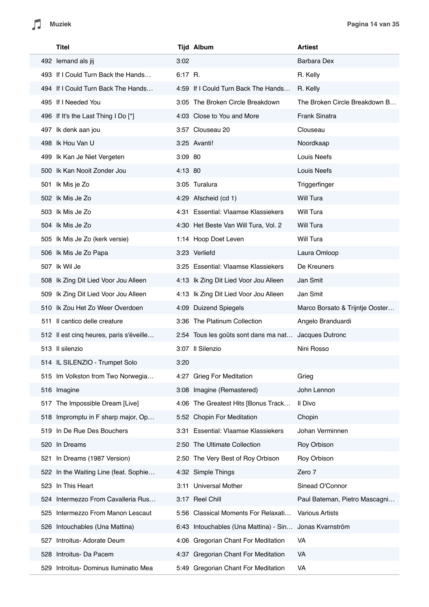| Titel                                    |         | <b>Tijd Album</b>                                      | <b>Artiest</b>                  |
|------------------------------------------|---------|--------------------------------------------------------|---------------------------------|
| 492 lemand als jij                       | 3:02    |                                                        | Barbara Dex                     |
| 493 If I Could Turn Back the Hands       | 6:17 R. |                                                        | R. Kelly                        |
| 494 If I Could Turn Back The Hands       |         | 4:59 If I Could Turn Back The Hands                    | R. Kelly                        |
| 495 If I Needed You                      |         | 3:05 The Broken Circle Breakdown                       | The Broken Circle Breakdown B   |
| 496 If It's the Last Thing I Do [*]      |         | 4:03 Close to You and More                             | Frank Sinatra                   |
| 497 Ik denk aan jou                      |         | 3:57 Clouseau 20                                       | Clouseau                        |
| 498 Ik Hou Van U                         |         | 3:25 Avanti!                                           | Noordkaap                       |
| 499 Ik Kan Je Niet Vergeten              | 3:09 80 |                                                        | Louis Neefs                     |
| 500 Ik Kan Nooit Zonder Jou              | 4:13 80 |                                                        | Louis Neefs                     |
| 501 Ik Mis je Zo                         |         | 3:05 Turalura                                          | Triggerfinger                   |
| 502 Ik Mis Je Zo                         |         | 4:29 Afscheid (cd 1)                                   | Will Tura                       |
| 503 Ik Mis Je Zo                         |         | 4:31 Essential: Vlaamse Klassiekers                    | Will Tura                       |
| 504 Ik Mis Je Zo                         |         | 4:30 Het Beste Van Will Tura, Vol. 2                   | Will Tura                       |
| 505 Ik Mis Je Zo (kerk versie)           |         | 1:14 Hoop Doet Leven                                   | Will Tura                       |
| 506 Ik Mis Je Zo Papa                    |         | 3:23 Verliefd                                          | Laura Omloop                    |
| 507 Ik Wil Je                            |         | 3:25 Essential: Vlaamse Klassiekers                    | De Kreuners                     |
| 508 Ik Zing Dit Lied Voor Jou Alleen     |         | 4:13 Ik Zing Dit Lied Voor Jou Alleen                  | Jan Smit                        |
| 509 Ik Zing Dit Lied Voor Jou Alleen     |         | 4:13 Ik Zing Dit Lied Voor Jou Alleen                  | Jan Smit                        |
| 510 Ik Zou Het Zo Weer Overdoen          |         | 4:09 Duizend Spiegels                                  | Marco Borsato & Trijntje Ooster |
| 511 Il cantico delle creature            |         | 3:36 The Platinum Collection                           | Angelo Branduardi               |
| 512 Il est cinq heures, paris s'éveille  |         | 2:54 Tous les goûts sont dans ma nat Jacques Dutronc   |                                 |
| 513 Il silenzio                          |         | 3:07 Il Silenzio                                       | Nini Rosso                      |
| 514 IL SILENZIO - Trumpet Solo           | 3:20    |                                                        |                                 |
| 515 Im Volkston from Two Norwegia        |         | 4:27 Grieg For Meditation                              | Grieg                           |
| 516 Imagine                              |         | 3:08 Imagine (Remastered)                              | John Lennon                     |
| The Impossible Dream [Live]<br>517       |         | 4:06 The Greatest Hits [Bonus Track                    | Il Divo                         |
| 518 Impromptu in F sharp major, Op       |         | 5:52 Chopin For Meditation                             | Chopin                          |
| 519 In De Rue Des Bouchers               |         | 3:31 Essential: Vlaamse Klassiekers                    | Johan Verminnen                 |
| 520 In Dreams                            |         | 2:50 The Ultimate Collection                           | Roy Orbison                     |
| In Dreams (1987 Version)<br>521          |         | 2:50 The Very Best of Roy Orbison                      | Roy Orbison                     |
| 522 In the Waiting Line (feat. Sophie    |         | 4:32 Simple Things                                     | Zero 7                          |
| In This Heart<br>523                     |         | 3:11 Universal Mother                                  | Sinead O'Connor                 |
| 524 Intermezzo From Cavalleria Rus       |         | 3:17 Reel Chill                                        | Paul Bateman, Pietro Mascagni   |
| 525 Intermezzo From Manon Lescaut        |         | 5:56 Classical Moments For Relaxati                    | <b>Various Artists</b>          |
| 526 Intouchables (Una Mattina)           |         | 6:43 Intouchables (Una Mattina) - Sin Jonas Kvarnström |                                 |
| Introitus- Adorate Deum<br>527           |         | 4:06 Gregorian Chant For Meditation                    | VA                              |
| 528 Introitus- Da Pacem                  |         | 4:37 Gregorian Chant For Meditation                    | VA                              |
| Introitus- Dominus Iluminatio Mea<br>529 |         | 5:49 Gregorian Chant For Meditation                    | VA                              |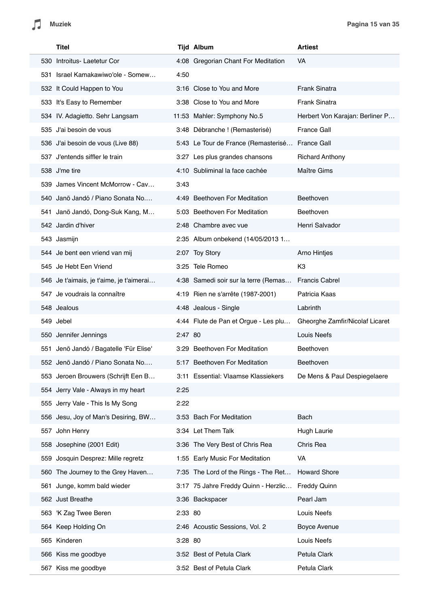| Titel                                    |         | <b>Tijd Album</b>                    | <b>Artiest</b>                  |
|------------------------------------------|---------|--------------------------------------|---------------------------------|
| 530 Introitus- Laetetur Cor              |         | 4:08 Gregorian Chant For Meditation  | VA                              |
| 531 Israel Kamakawiwo'ole - Somew        | 4:50    |                                      |                                 |
| 532 It Could Happen to You               |         | 3:16 Close to You and More           | <b>Frank Sinatra</b>            |
| 533 It's Easy to Remember                |         | 3:38 Close to You and More           | Frank Sinatra                   |
| 534 IV. Adagietto. Sehr Langsam          |         | 11:53 Mahler: Symphony No.5          | Herbert Von Karajan: Berliner P |
| 535 J'ai besoin de vous                  |         | 3:48 Débranche ! (Remasterisé)       | <b>France Gall</b>              |
| 536 J'ai besoin de vous (Live 88)        |         | 5:43 Le Tour de France (Remasterisé  | <b>France Gall</b>              |
| 537 J'entends siffler le train           |         | 3:27 Les plus grandes chansons       | <b>Richard Anthony</b>          |
| 538 J'me tire                            |         | 4:10 Subliminal la face cachée       | <b>Maître Gims</b>              |
| 539 James Vincent McMorrow - Cav         | 3:43    |                                      |                                 |
| 540 Janö Jandó / Piano Sonata No         |         | 4:49 Beethoven For Meditation        | Beethoven                       |
| 541 Janö Jandó, Dong-Suk Kang, M         |         | 5:03 Beethoven For Meditation        | Beethoven                       |
| 542 Jardin d'hiver                       |         | 2:48 Chambre avec vue                | Henri Salvador                  |
| 543 Jasmijn                              |         | 2:35 Album onbekend (14/05/2013 1    |                                 |
| 544 Je bent een vriend van mij           |         | 2:07 Toy Story                       | Arno Hintjes                    |
| 545 Je Hebt Een Vriend                   |         | 3:25 Tele Romeo                      | K <sub>3</sub>                  |
| 546 Je t'aimais, je t'aime, je t'aimerai |         | 4:38 Samedi soir sur la terre (Remas | <b>Francis Cabrel</b>           |
| 547 Je voudrais la connaître             |         | 4:19 Rien ne s'arrête (1987-2001)    | Patricia Kaas                   |
| 548 Jealous                              |         | 4:48 Jealous - Single                | Labrinth                        |
| 549 Jebel                                |         | 4:44 Flute de Pan et Orgue - Les plu | Gheorghe Zamfir/Nicolaf Licaret |
| 550 Jennifer Jennings                    | 2:47 80 |                                      | Louis Neefs                     |
| 551 Jenö Jandó / Bagatelle 'Für Elise'   |         | 3:29 Beethoven For Meditation        | Beethoven                       |
| 552 Jenö Jandó / Piano Sonata No         |         | 5:17 Beethoven For Meditation        | Beethoven                       |
| 553 Jeroen Brouwers (Schrijft Een B      |         | 3:11 Essential: Vlaamse Klassiekers  | De Mens & Paul Despiegelaere    |
| 554 Jerry Vale - Always in my heart      | 2:25    |                                      |                                 |
| 555 Jerry Vale - This Is My Song         | 2:22    |                                      |                                 |
| 556 Jesu, Joy of Man's Desiring, BW      |         | 3:53 Bach For Meditation             | Bach                            |
| 557 John Henry                           |         | 3:34 Let Them Talk                   | Hugh Laurie                     |
| 558 Josephine (2001 Edit)                |         | 3:36 The Very Best of Chris Rea      | Chris Rea                       |
| 559 Josquin Desprez: Mille regretz       |         | 1:55 Early Music For Meditation      | VA                              |
| 560 The Journey to the Grey Haven        |         | 7:35 The Lord of the Rings - The Ret | <b>Howard Shore</b>             |
| 561 Junge, komm bald wieder              |         | 3:17 75 Jahre Freddy Quinn - Herzlic | <b>Freddy Quinn</b>             |
| 562 Just Breathe                         |         | 3:36 Backspacer                      | Pearl Jam                       |
| 563 K Zag Twee Beren                     | 2:33 80 |                                      | Louis Neefs                     |
| 564 Keep Holding On                      |         | 2:46 Acoustic Sessions, Vol. 2       | Boyce Avenue                    |
| 565 Kinderen                             | 3:28 80 |                                      | Louis Neefs                     |
| 566 Kiss me goodbye                      |         | 3:52 Best of Petula Clark            | Petula Clark                    |
| 567 Kiss me goodbye                      |         | 3:52 Best of Petula Clark            | Petula Clark                    |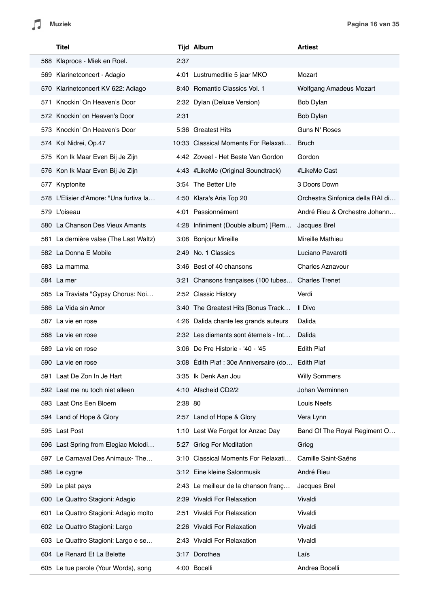| Titel                                  |         | <b>Tijd Album</b>                     | <b>Artiest</b>                   |
|----------------------------------------|---------|---------------------------------------|----------------------------------|
| 568 Klaproos - Miek en Roel.           | 2:37    |                                       |                                  |
| 569 Klarinetconcert - Adagio           |         | 4:01 Lustrumeditie 5 jaar MKO         | Mozart                           |
| 570 Klarinetconcert KV 622: Adiago     |         | 8:40 Romantic Classics Vol. 1         | Wolfgang Amadeus Mozart          |
| Knockin' On Heaven's Door<br>571       |         | 2:32 Dylan (Deluxe Version)           | Bob Dylan                        |
| 572 Knockin' on Heaven's Door          | 2:31    |                                       | Bob Dylan                        |
| 573 Knockin' On Heaven's Door          |         | 5:36 Greatest Hits                    | Guns N' Roses                    |
| 574 Kol Nidrei, Op.47                  |         | 10:33 Classical Moments For Relaxati  | <b>Bruch</b>                     |
| 575 Kon Ik Maar Even Bij Je Zijn       |         | 4:42 Zoveel - Het Beste Van Gordon    | Gordon                           |
| 576 Kon Ik Maar Even Bij Je Zijn       |         | 4:43 #LikeMe (Original Soundtrack)    | #LikeMe Cast                     |
| 577 Kryptonite                         |         | 3:54 The Better Life                  | 3 Doors Down                     |
| 578 L'Elisier d'Amore: "Una furtiva la |         | 4:50 Klara's Aria Top 20              | Orchestra Sinfonica della RAI di |
| 579 L'oiseau                           |         | 4:01 Passionnément                    | André Rieu & Orchestre Johann    |
| 580 La Chanson Des Vieux Amants        |         | 4:28 Infiniment (Double album) [Rem   | Jacques Brel                     |
| 581 La dernière valse (The Last Waltz) |         | 3:08 Bonjour Mireille                 | Mireille Mathieu                 |
| 582 La Donna E Mobile                  |         | 2:49 No. 1 Classics                   | Luciano Pavarotti                |
| 583 La mamma                           |         | 3:46 Best of 40 chansons              | <b>Charles Aznavour</b>          |
| 584 La mer                             |         | 3:21 Chansons françaises (100 tubes   | <b>Charles Trenet</b>            |
| 585 La Traviata "Gypsy Chorus: Noi     |         | 2:52 Classic History                  | Verdi                            |
| 586 La Vida sin Amor                   |         | 3:40 The Greatest Hits [Bonus Track   | Il Divo                          |
| 587 La vie en rose                     |         | 4:26 Dalida chante les grands auteurs | Dalida                           |
| 588 La vie en rose                     |         | 2:32 Les diamants sont éternels - Int | Dalida                           |
| 589 La vie en rose                     |         | 3:06 De Pre Historie - '40 - '45      | <b>Edith Piaf</b>                |
| 590 La vie en rose                     |         | 3:08 Edith Piaf: 30e Anniversaire (do | Edith Piaf                       |
| 591 Laat De Zon In Je Hart             |         | 3:35 Ik Denk Aan Jou                  | <b>Willy Sommers</b>             |
| 592 Laat me nu toch niet alleen        |         | 4:10 Afscheid CD2/2                   | Johan Verminnen                  |
| 593 Laat Ons Een Bloem                 | 2:38 80 |                                       | Louis Neefs                      |
| 594 Land of Hope & Glory               |         | 2:57 Land of Hope & Glory             | Vera Lynn                        |
| 595 Last Post                          |         | 1:10 Lest We Forget for Anzac Day     | Band Of The Royal Regiment O     |
| 596 Last Spring from Elegiac Melodi    |         | 5:27 Grieg For Meditation             | Grieg                            |
| 597 Le Carnaval Des Animaux- The       |         | 3:10 Classical Moments For Relaxati   | Camille Saint-Saëns              |
| 598 Le cygne                           |         | 3:12 Eine kleine Salonmusik           | André Rieu                       |
| 599 Le plat pays                       |         | 2:43 Le meilleur de la chanson franç  | Jacques Brel                     |
| 600 Le Quattro Stagioni: Adagio        |         | 2:39 Vivaldi For Relaxation           | Vivaldi                          |
| 601 Le Quattro Stagioni: Adagio molto  |         | 2:51 Vivaldi For Relaxation           | Vivaldi                          |
| 602 Le Quattro Stagioni: Largo         |         | 2:26 Vivaldi For Relaxation           | Vivaldi                          |
| 603 Le Quattro Stagioni: Largo e se    |         | 2:43 Vivaldi For Relaxation           | Vivaldi                          |
| 604 Le Renard Et La Belette            |         | 3:17 Dorothea                         | Laïs                             |
| 605 Le tue parole (Your Words), song   |         | 4:00 Bocelli                          | Andrea Bocelli                   |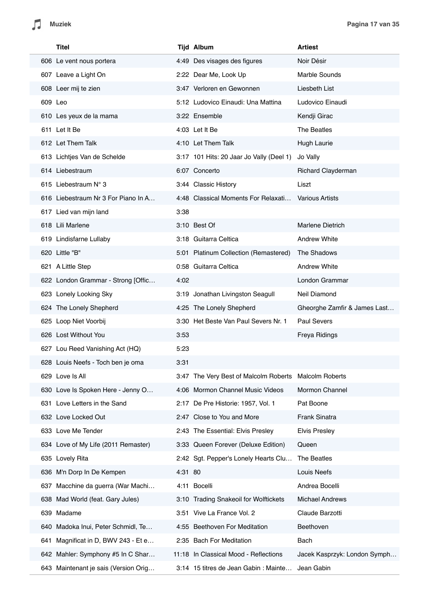| Titel                                  |         | <b>Tijd Album</b>                        | <b>Artiest</b>               |
|----------------------------------------|---------|------------------------------------------|------------------------------|
| 606 Le vent nous portera               |         | 4:49 Des visages des figures             | Noir Désir                   |
| 607 Leave a Light On                   |         | 2:22 Dear Me, Look Up                    | Marble Sounds                |
| 608 Leer mij te zien                   |         | 3:47 Verloren en Gewonnen                | Liesbeth List                |
| 609 Leo                                |         | 5:12 Ludovico Einaudi: Una Mattina       | Ludovico Einaudi             |
| 610 Les yeux de la mama                |         | 3:22 Ensemble                            | Kendji Girac                 |
| 611 Let It Be                          |         | 4:03 Let It Be                           | The Beatles                  |
| 612 Let Them Talk                      |         | 4:10 Let Them Talk                       | Hugh Laurie                  |
| 613 Lichtjes Van de Schelde            |         | 3:17 101 Hits: 20 Jaar Jo Vally (Deel 1) | Jo Vally                     |
| 614 Liebestraum                        |         | 6:07 Concerto                            | Richard Clayderman           |
| 615 Liebestraum N° 3                   |         | 3:44 Classic History                     | Liszt                        |
| 616 Liebestraum Nr 3 For Piano In A    |         | 4:48 Classical Moments For Relaxati      | <b>Various Artists</b>       |
| 617 Lied van mijn land                 | 3:38    |                                          |                              |
| 618 Lili Marlene                       |         | 3:10 Best Of                             | <b>Marlene Dietrich</b>      |
| 619 Lindisfarne Lullaby                |         | 3:18 Guitarra Celtica                    | <b>Andrew White</b>          |
| 620 Little "B"                         |         | 5:01 Platinum Collection (Remastered)    | The Shadows                  |
| 621 A Little Step                      |         | 0:58 Guitarra Celtica                    | <b>Andrew White</b>          |
| 622 London Grammar - Strong [Offic     | 4:02    |                                          | London Grammar               |
| 623 Lonely Looking Sky                 |         | 3:19 Jonathan Livingston Seagull         | Neil Diamond                 |
| 624 The Lonely Shepherd                |         | 4:25 The Lonely Shepherd                 | Gheorghe Zamfir & James Last |
| 625 Loop Niet Voorbij                  |         | 3:30 Het Beste Van Paul Severs Nr. 1     | <b>Paul Severs</b>           |
| 626 Lost Without You                   | 3:53    |                                          | Freya Ridings                |
| 627 Lou Reed Vanishing Act (HQ)        | 5:23    |                                          |                              |
| 628 Louis Neefs - Toch ben je oma      | 3:31    |                                          |                              |
| 629 Love Is All                        |         | 3:47 The Very Best of Malcolm Roberts    | <b>Malcolm Roberts</b>       |
| 630 Love Is Spoken Here - Jenny O      |         | 4:06 Mormon Channel Music Videos         | Mormon Channel               |
| 631 Love Letters in the Sand           |         | 2:17 De Pre Historie: 1957, Vol. 1       | Pat Boone                    |
| 632 Love Locked Out                    |         | 2:47 Close to You and More               | Frank Sinatra                |
| 633 Love Me Tender                     |         | 2:43 The Essential: Elvis Presley        | <b>Elvis Presley</b>         |
| 634 Love of My Life (2011 Remaster)    |         | 3:33 Queen Forever (Deluxe Edition)      | Queen                        |
| 635 Lovely Rita                        |         | 2:42 Sgt. Pepper's Lonely Hearts Clu     | The Beatles                  |
| 636 M'n Dorp In De Kempen              | 4:31 80 |                                          | Louis Neefs                  |
| 637 Macchine da guerra (War Machi      |         | 4:11 Bocelli                             | Andrea Bocelli               |
| 638 Mad World (feat. Gary Jules)       |         | 3:10 Trading Snakeoil for Wolftickets    | <b>Michael Andrews</b>       |
| 639 Madame                             |         | 3:51 Vive La France Vol. 2               | Claude Barzotti              |
| Madoka Inui, Peter Schmidl, Te<br>640  |         | 4:55 Beethoven For Meditation            | Beethoven                    |
| Magnificat in D, BWV 243 - Et e<br>641 |         | 2:35 Bach For Meditation                 | Bach                         |
| 642 Mahler: Symphony #5 In C Shar      |         | 11:18 In Classical Mood - Reflections    | Jacek Kasprzyk: London Symph |
| 643 Maintenant je sais (Version Orig   |         | 3:14 15 titres de Jean Gabin : Mainte    | Jean Gabin                   |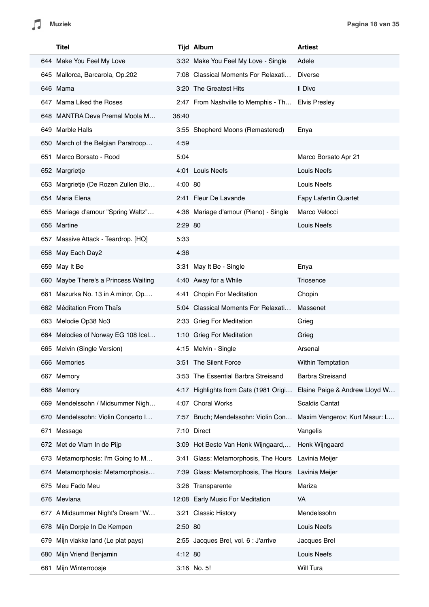|             | <b>Titel</b>                         |         | <b>Tijd Album</b>                                                   | <b>Artiest</b>                |
|-------------|--------------------------------------|---------|---------------------------------------------------------------------|-------------------------------|
|             | 644 Make You Feel My Love            |         | 3:32 Make You Feel My Love - Single                                 | Adele                         |
|             | 645 Mallorca, Barcarola, Op.202      |         | 7:08 Classical Moments For Relaxati                                 | <b>Diverse</b>                |
| 646 Mama    |                                      |         | 3:20 The Greatest Hits                                              | Il Divo                       |
|             | 647 Mama Liked the Roses             |         | 2:47 From Nashville to Memphis - Th Elvis Presley                   |                               |
|             | 648 MANTRA Deva Premal Moola M       | 38:40   |                                                                     |                               |
|             | 649 Marble Halls                     |         | 3:55 Shepherd Moons (Remastered)                                    | Enya                          |
|             | 650 March of the Belgian Paratroop   | 4:59    |                                                                     |                               |
|             | 651 Marco Borsato - Rood             | 5:04    |                                                                     | Marco Borsato Apr 21          |
|             | 652 Margrietje                       |         | 4:01 Louis Neefs                                                    | Louis Neefs                   |
|             | 653 Margrietje (De Rozen Zullen Blo  | 4:00 80 |                                                                     | Louis Neefs                   |
|             | 654 Maria Elena                      |         | 2:41 Fleur De Lavande                                               | <b>Fapy Lafertin Quartet</b>  |
|             | 655 Mariage d'amour "Spring Waltz"   |         | 4:36 Mariage d'amour (Piano) - Single                               | Marco Velocci                 |
| 656 Martine |                                      | 2:29 80 |                                                                     | Louis Neefs                   |
|             | 657 Massive Attack - Teardrop. [HQ]  | 5:33    |                                                                     |                               |
|             | 658 May Each Day2                    | 4:36    |                                                                     |                               |
|             | 659 May It Be                        |         | 3:31 May It Be - Single                                             | Enya                          |
|             | 660 Maybe There's a Princess Waiting |         | 4:40 Away for a While                                               | Triosence                     |
|             | 661 Mazurka No. 13 in A minor, Op    |         | 4:41 Chopin For Meditation                                          | Chopin                        |
|             | 662 Méditation From Thaïs            |         | 5:04 Classical Moments For Relaxati                                 | Massenet                      |
|             | 663 Melodie Op38 No3                 |         | 2:33 Grieg For Meditation                                           | Grieg                         |
|             | 664 Melodies of Norway EG 108 Icel   |         | 1:10 Grieg For Meditation                                           | Grieg                         |
|             | 665 Melvin (Single Version)          |         | 4:15 Melvin - Single                                                | Arsenal                       |
|             | 666 Memories                         |         | 3:51 The Silent Force                                               | <b>Within Temptation</b>      |
|             | 667 Memory                           |         | 3:53 The Essential Barbra Streisand                                 | <b>Barbra Streisand</b>       |
|             | 668 Memory                           |         | 4:17 Highlights from Cats (1981 Origi Elaine Paige & Andrew Lloyd W |                               |
| 669         | Mendelssohn / Midsummer Nigh         |         | 4:07 Choral Works                                                   | <b>Scaldis Cantat</b>         |
|             | 670 Mendelssohn: Violin Concerto I   |         | 7:57 Bruch; Mendelssohn: Violin Con                                 | Maxim Vengerov; Kurt Masur: L |
| 671         | Message                              |         | 7:10 Direct                                                         | Vangelis                      |
|             | 672 Met de Vlam In de Pijp           |         | 3:09 Het Beste Van Henk Wijngaard,                                  | Henk Wijngaard                |
|             | 673 Metamorphosis: I'm Going to M    |         | 3:41 Glass: Metamorphosis, The Hours                                | Lavinia Meijer                |
|             | 674 Metamorphosis: Metamorphosis     |         | 7:39 Glass: Metamorphosis, The Hours                                | Lavinia Meijer                |
| 675         | Meu Fado Meu                         |         | 3:26 Transparente                                                   | Mariza                        |
|             | 676 Mevlana                          |         | 12:08 Early Music For Meditation                                    | VA                            |
|             | 677 A Midsummer Night's Dream "W     |         | 3:21 Classic History                                                | Mendelssohn                   |
|             | 678 Mijn Dorpje In De Kempen         | 2:50 80 |                                                                     | Louis Neefs                   |
| 679         | Mijn vlakke land (Le plat pays)      |         | 2:55 Jacques Brel, vol. 6 : J'arrive                                | Jacques Brel                  |
| 680         | Mijn Vriend Benjamin                 | 4:12 80 |                                                                     | Louis Neefs                   |
| 681         | Mijn Winterroosje                    |         | 3:16 No. 5!                                                         | Will Tura                     |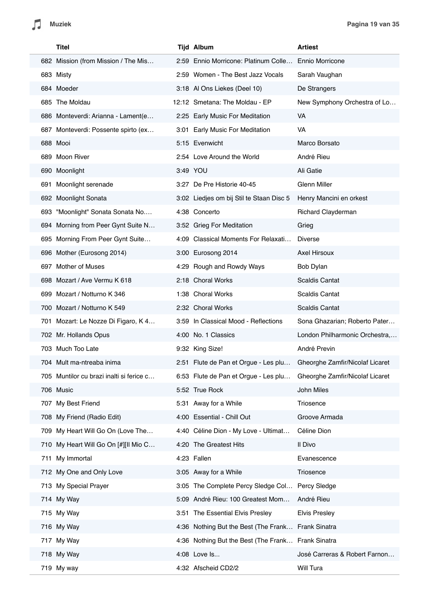|     | Titel                                    |      | <b>Tijd Album</b>                               | <b>Artiest</b>                  |
|-----|------------------------------------------|------|-------------------------------------------------|---------------------------------|
|     | 682 Mission (from Mission / The Mis      |      | 2:59 Ennio Morricone: Platinum Colle            | <b>Ennio Morricone</b>          |
|     | 683 Misty                                |      | 2:59 Women - The Best Jazz Vocals               | Sarah Vaughan                   |
|     | 684 Moeder                               |      | 3:18 Al Ons Liekes (Deel 10)                    | De Strangers                    |
|     | 685 The Moldau                           |      | 12:12 Smetana: The Moldau - EP                  | New Symphony Orchestra of Lo    |
|     | 686 Monteverdi: Arianna - Lament(e       |      | 2:25 Early Music For Meditation                 | VA                              |
|     | 687 Monteverdi: Possente spirto (ex      | 3:01 | Early Music For Meditation                      | VA                              |
|     | 688 Mooi                                 |      | 5:15 Evenwicht                                  | Marco Borsato                   |
|     | 689 Moon River                           |      | 2:54 Love Around the World                      | André Rieu                      |
|     | 690 Moonlight                            |      | 3:49 YOU                                        | Ali Gatie                       |
| 691 | Moonlight serenade                       |      | 3:27 De Pre Historie 40-45                      | Glenn Miller                    |
|     | 692 Moonlight Sonata                     |      | 3:02 Liedjes om bij Stil te Staan Disc 5        | Henry Mancini en orkest         |
| 693 | "Moonlight" Sonata Sonata No             |      | 4:38 Concerto                                   | Richard Clayderman              |
|     | 694 Morning from Peer Gynt Suite N       |      | 3:52 Grieg For Meditation                       | Grieg                           |
|     | 695 Morning From Peer Gynt Suite         |      | 4:09 Classical Moments For Relaxati             | <b>Diverse</b>                  |
|     | 696 Mother (Eurosong 2014)               |      | 3:00 Eurosong 2014                              | <b>Axel Hirsoux</b>             |
|     | 697 Mother of Muses                      |      | 4:29 Rough and Rowdy Ways                       | Bob Dylan                       |
|     | 698 Mozart / Ave Vermu K 618             |      | 2:18 Choral Works                               | <b>Scaldis Cantat</b>           |
|     | 699 Mozart / Notturno K 346              |      | 1:38 Choral Works                               | Scaldis Cantat                  |
|     | 700 Mozart / Notturno K 549              |      | 2:32 Choral Works                               | <b>Scaldis Cantat</b>           |
|     | 701 Mozart: Le Nozze Di Figaro, K 4      | 3:59 | In Classical Mood - Reflections                 | Sona Ghazarian; Roberto Pater   |
|     | 702 Mr. Hollands Opus                    |      | 4:00 No. 1 Classics                             | London Philharmonic Orchestra,  |
|     | 703 Much Too Late                        |      | 9:32 King Size!                                 | André Previn                    |
|     | 704 Mult ma-ntreaba inima                |      | 2:51 Flute de Pan et Orque - Les plu            | Gheorghe Zamfir/Nicolaf Licaret |
|     | 705 Muntilor cu brazi inalti si ferice c |      | 6:53 Flute de Pan et Orgue - Les plu            | Gheorghe Zamfir/Nicolaf Licaret |
|     | 706 Music                                |      | 5:52 True Rock                                  | John Miles                      |
|     | 707 My Best Friend                       |      | 5:31 Away for a While                           | Triosence                       |
|     | 708 My Friend (Radio Edit)               |      | 4:00 Essential - Chill Out                      | Groove Armada                   |
|     | 709 My Heart Will Go On (Love The        |      | 4:40 Céline Dion - My Love - Ultimat            | Céline Dion                     |
|     | 710 My Heart Will Go On [#][II Mio C     |      | 4:20 The Greatest Hits                          | Il Divo                         |
| 711 | My Immortal                              |      | 4:23 Fallen                                     | Evanescence                     |
|     | 712 My One and Only Love                 |      | 3:05 Away for a While                           | Triosence                       |
|     | 713 My Special Prayer                    |      | 3:05 The Complete Percy Sledge Col Percy Sledge |                                 |
|     | 714 My Way                               |      | 5:09 André Rieu: 100 Greatest Mom               | André Rieu                      |
|     | 715 My Way                               |      | 3:51 The Essential Elvis Presley                | <b>Elvis Presley</b>            |
|     | 716 My Way                               |      | 4:36 Nothing But the Best (The Frank            | <b>Frank Sinatra</b>            |
|     | 717 My Way                               |      | 4:36 Nothing But the Best (The Frank            | <b>Frank Sinatra</b>            |
|     | 718 My Way                               |      | 4:08 Love Is                                    | José Carreras & Robert Farnon   |
|     | 719 My way                               |      | 4:32 Afscheid CD2/2                             | Will Tura                       |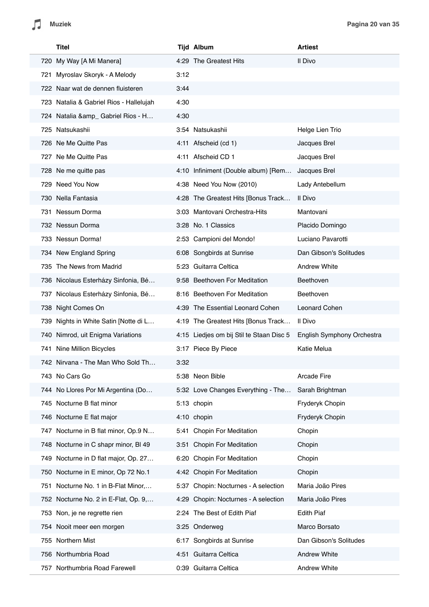| Titel                                   |      | <b>Tijd Album</b>                        | <b>Artiest</b>             |
|-----------------------------------------|------|------------------------------------------|----------------------------|
| 720 My Way [A Mi Manera]                |      | 4:29 The Greatest Hits                   | Il Divo                    |
| 721 Myroslav Skoryk - A Melody          | 3:12 |                                          |                            |
| 722 Naar wat de dennen fluisteren       | 3:44 |                                          |                            |
| 723 Natalia & Gabriel Rios - Hallelujah | 4:30 |                                          |                            |
| 724 Natalia & amp_ Gabriel Rios - H     | 4:30 |                                          |                            |
| 725 Natsukashii                         |      | 3:54 Natsukashii                         | Helge Lien Trio            |
| 726 Ne Me Quitte Pas                    |      | 4:11 Afscheid (cd 1)                     | Jacques Brel               |
| 727 Ne Me Quitte Pas                    |      | 4:11 Afscheid CD 1                       | Jacques Brel               |
| 728 Ne me quitte pas                    |      | 4:10 Infiniment (Double album) [Rem      | Jacques Brel               |
| 729 Need You Now                        |      | 4:38 Need You Now (2010)                 | Lady Antebellum            |
| 730 Nella Fantasia                      |      | 4:28 The Greatest Hits [Bonus Track      | Il Divo                    |
| 731 Nessum Dorma                        |      | 3:03 Mantovani Orchestra-Hits            | Mantovani                  |
| 732 Nessun Dorma                        |      | 3:28 No. 1 Classics                      | Placido Domingo            |
| 733 Nessun Dorma!                       |      | 2:53 Campioni del Mondo!                 | Luciano Pavarotti          |
| 734 New England Spring                  |      | 6:08 Songbirds at Sunrise                | Dan Gibson's Solitudes     |
| 735 The News from Madrid                |      | 5:23 Guitarra Celtica                    | <b>Andrew White</b>        |
| 736 Nicolaus Esterházy Sinfonia, Bé     |      | 9:58 Beethoven For Meditation            | Beethoven                  |
| 737 Nicolaus Esterházy Sinfonia, Bé     |      | 8:16 Beethoven For Meditation            | Beethoven                  |
| 738 Night Comes On                      |      | 4:39 The Essential Leonard Cohen         | Leonard Cohen              |
| 739 Nights in White Satin [Notte di L   |      | 4:19 The Greatest Hits [Bonus Track      | Il Divo                    |
| 740 Nimrod, uit Enigma Variations       |      | 4:15 Liedjes om bij Stil te Staan Disc 5 | English Symphony Orchestra |
| 741 Nine Million Bicycles               |      | 3:17 Piece By Piece                      | Katie Melua                |
| 742 Nirvana - The Man Who Sold Th       | 3:32 |                                          |                            |
| 743 No Cars Go                          |      | 5:38 Neon Bible                          | <b>Arcade Fire</b>         |
| 744 No Llores Por Mi Argentina (Do      |      | 5:32 Love Changes Everything - The       | Sarah Brightman            |
| Nocturne B flat minor<br>745            |      | 5:13 chopin                              | Fryderyk Chopin            |
| 746 Nocturne E flat major               |      | 4:10 chopin                              | Fryderyk Chopin            |
| 747 Nocturne in B flat minor, Op.9 N    |      | 5:41 Chopin For Meditation               | Chopin                     |
| 748 Nocturne in C shapr minor, BI 49    |      | 3:51 Chopin For Meditation               | Chopin                     |
| 749 Nocturne in D flat major, Op. 27    |      | 6:20 Chopin For Meditation               | Chopin                     |
| 750 Nocturne in E minor, Op 72 No.1     |      | 4:42 Chopin For Meditation               | Chopin                     |
| 751 Nocturne No. 1 in B-Flat Minor,     | 5:37 | Chopin: Nocturnes - A selection          | Maria João Pires           |
| 752 Nocturne No. 2 in E-Flat, Op. 9,    | 4:29 | Chopin: Nocturnes - A selection          | Maria João Pires           |
| 753 Non, je ne regrette rien            |      | 2:24 The Best of Edith Piaf              | <b>Edith Piaf</b>          |
| 754 Nooit meer een morgen               |      | 3:25 Onderweg                            | Marco Borsato              |
| Northern Mist<br>755                    | 6:17 | Songbirds at Sunrise                     | Dan Gibson's Solitudes     |
| 756 Northumbria Road                    |      | 4:51 Guitarra Celtica                    | <b>Andrew White</b>        |
| 757 Northumbria Road Farewell           |      | 0:39 Guitarra Celtica                    | Andrew White               |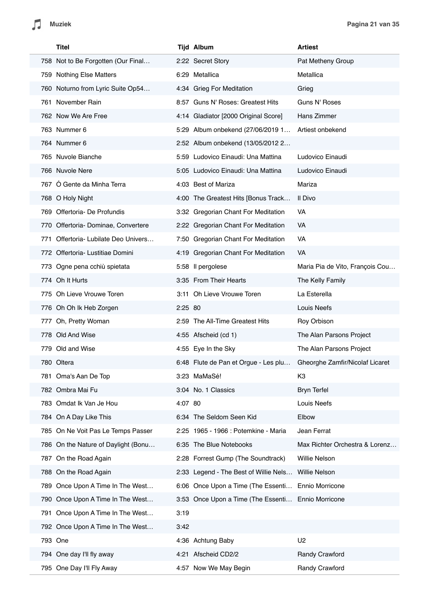

| <b>Titel</b>                         |         | <b>Tijd Album</b>                                  | <b>Artiest</b>                  |
|--------------------------------------|---------|----------------------------------------------------|---------------------------------|
| 758 Not to Be Forgotten (Our Final   |         | 2:22 Secret Story                                  | Pat Metheny Group               |
| 759 Nothing Else Matters             |         | 6:29 Metallica                                     | Metallica                       |
| 760 Noturno from Lyric Suite Op54    |         | 4:34 Grieg For Meditation                          | Grieg                           |
| 761 November Rain                    |         | 8:57 Guns N' Roses: Greatest Hits                  | Guns N' Roses                   |
| 762 Now We Are Free                  |         | 4:14 Gladiator [2000 Original Score]               | Hans Zimmer                     |
| 763 Nummer 6                         |         | 5:29 Album onbekend (27/06/2019 1                  | Artiest onbekend                |
| 764 Nummer 6                         |         | 2:52 Album onbekend (13/05/2012 2                  |                                 |
| 765 Nuvole Bianche                   |         | 5:59 Ludovico Einaudi: Una Mattina                 | Ludovico Einaudi                |
| 766 Nuvole Nere                      |         | 5:05 Ludovico Einaudi: Una Mattina                 | Ludovico Einaudi                |
| 767 Ó Gente da Minha Terra           |         | 4:03 Best of Mariza                                | Mariza                          |
| 768 O Holy Night                     |         | 4:00 The Greatest Hits [Bonus Track                | Il Divo                         |
| 769 Offertoria- De Profundis         |         | 3:32 Gregorian Chant For Meditation                | VA                              |
| 770 Offertoria- Dominae, Convertere  |         | 2:22 Gregorian Chant For Meditation                | VA                              |
| 771 Offertoria- Lubilate Deo Univers |         | 7:50 Gregorian Chant For Meditation                | VA                              |
| 772 Offertoria- Lustitiae Domini     |         | 4:19 Gregorian Chant For Meditation                | VA                              |
| 773 Ogne pena cchiù spietata         |         | 5:58 Il pergolese                                  | Maria Pia de Vito, François Cou |
| 774 Oh It Hurts                      |         | 3:35 From Their Hearts                             | The Kelly Family                |
| 775 Oh Lieve Vrouwe Toren            |         | 3:11 Oh Lieve Vrouwe Toren                         | La Esterella                    |
| 776 Oh Oh Ik Heb Zorgen              | 2:25 80 |                                                    | Louis Neefs                     |
| 777 Oh, Pretty Woman                 |         | 2:59 The All-Time Greatest Hits                    | Roy Orbison                     |
| 778 Old And Wise                     |         | 4:55 Afscheid (cd 1)                               | The Alan Parsons Project        |
| 779 Old and Wise                     |         | 4:55 Eye In the Sky                                | The Alan Parsons Project        |
| 780 Oltera                           |         | 6:48 Flute de Pan et Orgue - Les plu               | Gheorghe Zamfir/Nicolaf Licaret |
| 781 Oma's Aan De Top                 |         | 3:23 MaMaSé!                                       | K <sub>3</sub>                  |
| 782 Ombra Mai Fu                     |         | 3:04 No. 1 Classics                                | <b>Bryn Terfel</b>              |
| 783 Omdat Ik Van Je Hou              | 4:07 80 |                                                    | Louis Neefs                     |
| 784 On A Day Like This               |         | 6:34 The Seldom Seen Kid                           | Elbow                           |
| 785 On Ne Voit Pas Le Temps Passer   |         | 2:25 1965 - 1966 : Potemkine - Maria               | Jean Ferrat                     |
| 786 On the Nature of Daylight (Bonu  |         | 6:35 The Blue Notebooks                            | Max Richter Orchestra & Lorenz  |
| 787 On the Road Again                |         | 2:28 Forrest Gump (The Soundtrack)                 | Willie Nelson                   |
| 788 On the Road Again                |         | 2:33 Legend - The Best of Willie Nels              | <b>Willie Nelson</b>            |
| 789 Once Upon A Time In The West     |         | 6:06 Once Upon a Time (The Essenti                 | Ennio Morricone                 |
| 790 Once Upon A Time In The West     |         | 3:53 Once Upon a Time (The Essenti Ennio Morricone |                                 |
| 791 Once Upon A Time In The West     | 3:19    |                                                    |                                 |
| 792 Once Upon A Time In The West     | 3:42    |                                                    |                                 |
| 793 One                              |         | 4:36 Achtung Baby                                  | U <sub>2</sub>                  |
| 794 One day I'll fly away            |         | 4:21 Afscheid CD2/2                                | Randy Crawford                  |
| 795 One Day I'll Fly Away            |         | 4:57 Now We May Begin                              | Randy Crawford                  |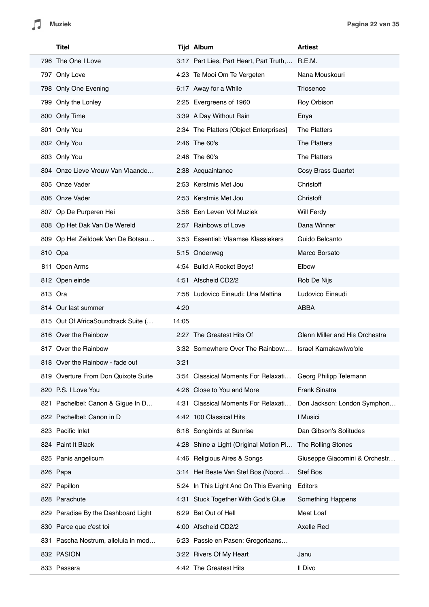| Titel                                |       | <b>Tijd Album</b>                                         | <b>Artiest</b>                 |
|--------------------------------------|-------|-----------------------------------------------------------|--------------------------------|
| 796 The One I Love                   |       | 3:17 Part Lies, Part Heart, Part Truth, R.E.M.            |                                |
| 797 Only Love                        |       | 4:23 Te Mooi Om Te Vergeten                               | Nana Mouskouri                 |
| 798 Only One Evening                 |       | 6:17 Away for a While                                     | Triosence                      |
| 799 Only the Lonley                  |       | 2:25 Evergreens of 1960                                   | Roy Orbison                    |
| 800 Only Time                        |       | 3:39 A Day Without Rain                                   | Enya                           |
| 801 Only You                         |       | 2:34 The Platters [Object Enterprises]                    | <b>The Platters</b>            |
| 802 Only You                         |       | 2:46 The 60's                                             | The Platters                   |
| 803 Only You                         |       | 2:46 The 60's                                             | The Platters                   |
| 804 Onze Lieve Vrouw Van Vlaande     |       | 2:38 Acquaintance                                         | Cosy Brass Quartet             |
| 805 Onze Vader                       |       | 2:53 Kerstmis Met Jou                                     | Christoff                      |
| 806 Onze Vader                       |       | 2:53 Kerstmis Met Jou                                     | Christoff                      |
| 807 Op De Purperen Hei               |       | 3:58 Een Leven Vol Muziek                                 | Will Ferdy                     |
| 808 Op Het Dak Van De Wereld         |       | 2:57 Rainbows of Love                                     | Dana Winner                    |
| 809 Op Het Zeildoek Van De Botsau    |       | 3:53 Essential: Vlaamse Klassiekers                       | Guido Belcanto                 |
| 810 Opa                              |       | 5:15 Onderweg                                             | Marco Borsato                  |
| 811 Open Arms                        |       | 4:54 Build A Rocket Boys!                                 | Elbow                          |
| 812 Open einde                       |       | 4:51 Afscheid CD2/2                                       | Rob De Nijs                    |
| 813 Ora                              |       | 7:58 Ludovico Einaudi: Una Mattina                        | Ludovico Einaudi               |
| 814 Our last summer                  | 4:20  |                                                           | ABBA                           |
| 815 Out Of AfricaSoundtrack Suite (  | 14:05 |                                                           |                                |
| 816 Over the Rainbow                 |       | 2:27 The Greatest Hits Of                                 | Glenn Miller and His Orchestra |
| 817 Over the Rainbow                 |       | 3:32 Somewhere Over The Rainbow:                          | Israel Kamakawiwo'ole          |
| 818 Over the Rainbow - fade out      | 3:21  |                                                           |                                |
| 819 Overture From Don Quixote Suite  |       | 3:54 Classical Moments For Relaxati                       | Georg Philipp Telemann         |
| 820 P.S. I Love You                  |       | 4:26 Close to You and More                                | Frank Sinatra                  |
| Pachelbel: Canon & Gigue In D<br>821 |       | 4:31 Classical Moments For Relaxati                       | Don Jackson: London Symphon    |
| 822 Pachelbel: Canon in D            |       | 4:42 100 Classical Hits                                   | I Musici                       |
| 823 Pacific Inlet                    |       | 6:18 Songbirds at Sunrise                                 | Dan Gibson's Solitudes         |
| 824 Paint It Black                   |       | 4:28 Shine a Light (Original Motion Pi The Rolling Stones |                                |
| 825 Panis angelicum                  |       | 4:46 Religious Aires & Songs                              | Giuseppe Giacomini & Orchestr  |
| 826 Papa                             |       | 3:14 Het Beste Van Stef Bos (Noord                        | Stef Bos                       |
| 827 Papillon                         |       | 5:24 In This Light And On This Evening                    | Editors                        |
| 828 Parachute                        |       | 4:31 Stuck Together With God's Glue                       | Something Happens              |
| 829 Paradise By the Dashboard Light  | 8:29  | Bat Out of Hell                                           | Meat Loaf                      |
| 830 Parce que c'est toi              |       | 4:00 Afscheid CD2/2                                       | Axelle Red                     |
| 831 Pascha Nostrum, alleluia in mod  |       | 6:23 Passie en Pasen: Gregoriaans                         |                                |
| 832 PASION                           |       | 3:22 Rivers Of My Heart                                   | Janu                           |
| 833 Passera                          |       | 4:42 The Greatest Hits                                    | Il Divo                        |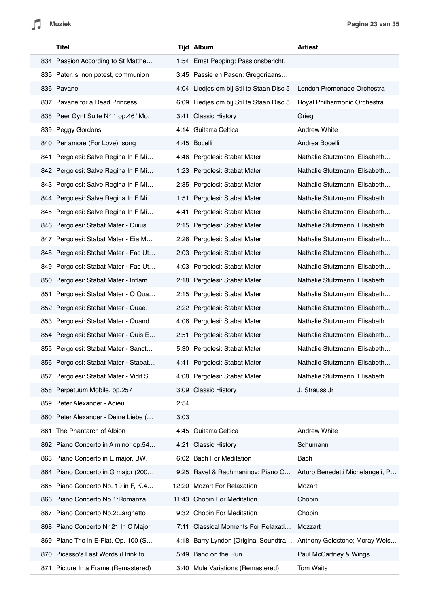| Titel                                  |      | Tijd Album                               | <b>Artiest</b>                   |
|----------------------------------------|------|------------------------------------------|----------------------------------|
| 834 Passion According to St Matthe     |      | 1:54 Ernst Pepping: Passionsbericht      |                                  |
| 835 Pater, si non potest, communion    |      | 3:45 Passie en Pasen: Gregoriaans        |                                  |
| 836 Pavane                             |      | 4:04 Liedjes om bij Stil te Staan Disc 5 | London Promenade Orchestra       |
| 837 Pavane for a Dead Princess         |      | 6:09 Liedjes om bij Stil te Staan Disc 5 | Royal Philharmonic Orchestra     |
| 838 Peer Gynt Suite N° 1 op.46 "Mo     |      | 3:41 Classic History                     | Grieg                            |
| 839 Peggy Gordons                      |      | 4:14 Guitarra Celtica                    | <b>Andrew White</b>              |
| 840 Per amore (For Love), song         |      | 4:45 Bocelli                             | Andrea Bocelli                   |
| Pergolesi: Salve Regina In F Mi<br>841 |      | 4:46 Pergolesi: Stabat Mater             | Nathalie Stutzmann, Elisabeth    |
| 842 Pergolesi: Salve Regina In F Mi    |      | 1:23 Pergolesi: Stabat Mater             | Nathalie Stutzmann, Elisabeth    |
| 843 Pergolesi: Salve Regina In F Mi    |      | 2:35 Pergolesi: Stabat Mater             | Nathalie Stutzmann, Elisabeth    |
| 844 Pergolesi: Salve Regina In F Mi    |      | 1:51 Pergolesi: Stabat Mater             | Nathalie Stutzmann, Elisabeth    |
| 845 Pergolesi: Salve Regina In F Mi    |      | 4:41 Pergolesi: Stabat Mater             | Nathalie Stutzmann, Elisabeth    |
| 846 Pergolesi: Stabat Mater - Cuius    |      | 2:15 Pergolesi: Stabat Mater             | Nathalie Stutzmann, Elisabeth    |
| Pergolesi: Stabat Mater - Eia M<br>847 |      | 2:26 Pergolesi: Stabat Mater             | Nathalie Stutzmann, Elisabeth    |
| 848 Pergolesi: Stabat Mater - Fac Ut   |      | 2:03 Pergolesi: Stabat Mater             | Nathalie Stutzmann, Elisabeth    |
| 849 Pergolesi: Stabat Mater - Fac Ut   |      | 4:03 Pergolesi: Stabat Mater             | Nathalie Stutzmann, Elisabeth    |
| 850 Pergolesi: Stabat Mater - Inflam   |      | 2:18 Pergolesi: Stabat Mater             | Nathalie Stutzmann, Elisabeth    |
| Pergolesi: Stabat Mater - O Qua<br>851 |      | 2:15 Pergolesi: Stabat Mater             | Nathalie Stutzmann, Elisabeth    |
| 852 Pergolesi: Stabat Mater - Quae     |      | 2:22 Pergolesi: Stabat Mater             | Nathalie Stutzmann, Elisabeth    |
| Pergolesi: Stabat Mater - Quand<br>853 |      | 4:06 Pergolesi: Stabat Mater             | Nathalie Stutzmann, Elisabeth    |
| 854 Pergolesi: Stabat Mater - Quis E   |      | 2:51 Pergolesi: Stabat Mater             | Nathalie Stutzmann, Elisabeth    |
| 855 Pergolesi: Stabat Mater - Sanct    |      | 5:30 Pergolesi: Stabat Mater             | Nathalie Stutzmann, Elisabeth    |
| 856 Pergolesi: Stabat Mater - Stabat   |      | 4:41 Pergolesi: Stabat Mater             | Nathalie Stutzmann, Elisabeth    |
| 857 Pergolesi: Stabat Mater - Vidit S  |      | 4:08 Pergolesi: Stabat Mater             | Nathalie Stutzmann, Elisabeth    |
| 858 Perpetuum Mobile, op.257           |      | 3:09 Classic History                     | J. Strauss Jr                    |
| 859 Peter Alexander - Adieu            | 2:54 |                                          |                                  |
| 860 Peter Alexander - Deine Liebe (    | 3:03 |                                          |                                  |
| The Phantarch of Albion<br>861         |      | 4:45 Guitarra Celtica                    | <b>Andrew White</b>              |
| 862 Piano Concerto in A minor op.54    |      | 4:21 Classic History                     | Schumann                         |
| 863 Piano Concerto in E major, BW      |      | 6:02 Bach For Meditation                 | Bach                             |
| 864 Piano Concerto in G major (200     |      | 9:25 Ravel & Rachmaninov: Piano C        | Arturo Benedetti Michelangeli, P |
| 865 Piano Concerto No. 19 in F, K.4    |      | 12:20 Mozart For Relaxation              | Mozart                           |
| 866 Piano Concerto No.1: Romanza       |      | 11:43 Chopin For Meditation              | Chopin                           |
| 867 Piano Concerto No.2: Larghetto     |      | 9:32 Chopin For Meditation               | Chopin                           |
| 868 Piano Concerto Nr 21 In C Major    |      | 7:11 Classical Moments For Relaxati      | Mozzart                          |
| 869 Piano Trio in E-Flat, Op. 100 (S   |      | 4:18 Barry Lyndon [Original Soundtra     | Anthony Goldstone; Moray Wels    |
| 870 Picasso's Last Words (Drink to     |      | 5:49 Band on the Run                     | Paul McCartney & Wings           |
| Picture In a Frame (Remastered)<br>871 |      | 3:40 Mule Variations (Remastered)        | <b>Tom Waits</b>                 |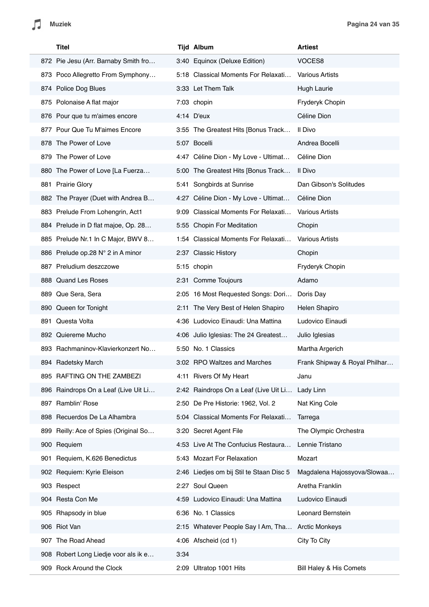| <b>Titel</b>                          |      | <b>Tijd Album</b>                                 | <b>Artiest</b>                 |
|---------------------------------------|------|---------------------------------------------------|--------------------------------|
| 872 Pie Jesu (Arr. Barnaby Smith fro  |      | 3:40 Equinox (Deluxe Edition)                     | VOCES8                         |
| 873 Poco Allegretto From Symphony     |      | 5:18 Classical Moments For Relaxati               | <b>Various Artists</b>         |
| 874 Police Dog Blues                  |      | 3:33 Let Them Talk                                | Hugh Laurie                    |
| 875 Polonaise A flat major            |      | 7:03 chopin                                       | Fryderyk Chopin                |
| 876 Pour que tu m'aimes encore        |      | 4:14 D'eux                                        | Céline Dion                    |
| 877 Pour Que Tu M'aimes Encore        |      | 3:55 The Greatest Hits [Bonus Track               | Il Divo                        |
| 878 The Power of Love                 |      | 5:07 Bocelli                                      | Andrea Bocelli                 |
| 879 The Power of Love                 |      | 4:47 Céline Dion - My Love - Ultimat              | Céline Dion                    |
| 880 The Power of Love [La Fuerza      |      | 5:00 The Greatest Hits [Bonus Track               | Il Divo                        |
| 881 Prairie Glory                     |      | 5:41 Songbirds at Sunrise                         | Dan Gibson's Solitudes         |
| 882 The Prayer (Duet with Andrea B    |      | 4:27 Céline Dion - My Love - Ultimat              | Céline Dion                    |
| 883 Prelude From Lohengrin, Act1      |      | 9:09 Classical Moments For Relaxati               | <b>Various Artists</b>         |
| 884 Prelude in D flat majoe, Op. 28   |      | 5:55 Chopin For Meditation                        | Chopin                         |
| 885 Prelude Nr.1 In C Major, BWV 8    |      | 1:54 Classical Moments For Relaxati               | <b>Various Artists</b>         |
| 886 Prelude op.28 N° 2 in A minor     |      | 2:37 Classic History                              | Chopin                         |
| 887 Preludium deszczowe               |      | 5:15 chopin                                       | Fryderyk Chopin                |
| 888 Quand Les Roses                   |      | 2:31 Comme Toujours                               | Adamo                          |
| 889 Que Sera, Sera                    |      | 2:05 16 Most Requested Songs: Dori                | Doris Day                      |
| 890 Queen for Tonight                 |      | 2:11 The Very Best of Helen Shapiro               | Helen Shapiro                  |
| 891 Questa Volta                      |      | 4:36 Ludovico Einaudi: Una Mattina                | Ludovico Einaudi               |
| 892 Quiereme Mucho                    |      | 4:06 Julio Iglesias: The 24 Greatest              | Julio Iglesias                 |
| 893 Rachmaninov-Klavierkonzert No     |      | 5:50 No. 1 Classics                               | Martha Argerich                |
| 894 Radetsky March                    |      | 3:02 RPO Waltzes and Marches                      | Frank Shipway & Royal Philhar. |
| 895 RAFTING ON THE ZAMBEZI            |      | 4:11 Rivers Of My Heart                           | Janu                           |
| 896 Raindrops On a Leaf (Live Uit Li  |      | 2:42 Raindrops On a Leaf (Live Uit Li Lady Linn   |                                |
| 897 Ramblin' Rose                     |      | 2:50 De Pre Historie: 1962, Vol. 2                | Nat King Cole                  |
| 898 Recuerdos De La Alhambra          |      | 5:04 Classical Moments For Relaxati               | Tarrega                        |
| 899 Reilly: Ace of Spies (Original So |      | 3:20 Secret Agent File                            | The Olympic Orchestra          |
| 900 Requiem                           |      | 4:53 Live At The Confucius Restaura               | Lennie Tristano                |
| 901 Requiem, K.626 Benedictus         |      | 5:43 Mozart For Relaxation                        | Mozart                         |
| 902 Requiem: Kyrie Eleison            |      | 2:46 Liedjes om bij Stil te Staan Disc 5          | Magdalena Hajossyova/Slowaa    |
| 903 Respect                           |      | 2:27 Soul Queen                                   | Aretha Franklin                |
| 904 Resta Con Me                      |      | 4:59 Ludovico Einaudi: Una Mattina                | Ludovico Einaudi               |
| 905 Rhapsody in blue                  |      | 6:36 No. 1 Classics                               | Leonard Bernstein              |
| 906 Riot Van                          |      | 2:15 Whatever People Say I Am, Tha Arctic Monkeys |                                |
| 907 The Road Ahead                    |      | 4:06 Afscheid (cd 1)                              | City To City                   |
| 908 Robert Long Liedje voor als ik e  | 3:34 |                                                   |                                |
| 909 Rock Around the Clock             |      | 2:09 Ultratop 1001 Hits                           | Bill Haley & His Comets        |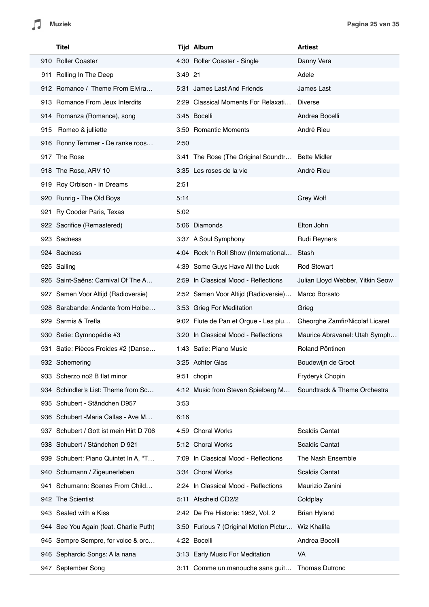| Titel                                   |         | <b>Tijd Album</b>                               | <b>Artiest</b>                   |
|-----------------------------------------|---------|-------------------------------------------------|----------------------------------|
| 910 Roller Coaster                      |         | 4:30 Roller Coaster - Single                    | Danny Vera                       |
| 911 Rolling In The Deep                 | 3:49 21 |                                                 | Adele                            |
| 912 Romance / Theme From Elvira         |         | 5:31 James Last And Friends                     | James Last                       |
| 913 Romance From Jeux Interdits         |         | 2:29 Classical Moments For Relaxati             | <b>Diverse</b>                   |
| 914 Romanza (Romance), song             |         | 3:45 Bocelli                                    | Andrea Bocelli                   |
| 915 Romeo & julliette                   |         | 3:50 Romantic Moments                           | André Rieu                       |
| 916 Ronny Temmer - De ranke roos        | 2:50    |                                                 |                                  |
| 917 The Rose                            |         | 3:41 The Rose (The Original Soundtr             | <b>Bette Midler</b>              |
| 918 The Rose, ARV 10                    |         | 3:35 Les roses de la vie                        | André Rieu                       |
| 919 Roy Orbison - In Dreams             | 2:51    |                                                 |                                  |
| 920 Runrig - The Old Boys               | 5:14    |                                                 | <b>Grey Wolf</b>                 |
| 921 Ry Cooder Paris, Texas              | 5:02    |                                                 |                                  |
| 922 Sacrifice (Remastered)              |         | 5:06 Diamonds                                   | Elton John                       |
| 923 Sadness                             |         | 3:37 A Soul Symphony                            | <b>Rudi Reyners</b>              |
| 924 Sadness                             |         | 4:04 Rock 'n Roll Show (International           | Stash                            |
| 925 Sailing                             |         | 4:39 Some Guys Have All the Luck                | <b>Rod Stewart</b>               |
| 926 Saint-Saëns: Carnival Of The A      |         | 2:59 In Classical Mood - Reflections            | Julian Lloyd Webber, Yitkin Seow |
| 927 Samen Voor Altijd (Radioversie)     |         | 2:52 Samen Voor Altijd (Radioversie)            | Marco Borsato                    |
| 928 Sarabande: Andante from Holbe       |         | 3:53 Grieg For Meditation                       | Grieg                            |
| 929 Sarmis & Trefla                     |         | 9:02 Flute de Pan et Orgue - Les plu            | Gheorghe Zamfir/Nicolaf Licaret  |
| 930 Satie: Gymnopédie #3                |         | 3:20 In Classical Mood - Reflections            | Maurice Abravanel: Utah Symph    |
| 931 Satie: Pièces Froides #2 (Danse     |         | 1:43 Satie: Piano Music                         | Roland Pöntinen                  |
| 932 Schemering                          |         | 3:25 Achter Glas                                | Boudewijn de Groot               |
| 933 Scherzo no2 B flat minor            |         | 9:51 chopin                                     | Fryderyk Chopin                  |
| 934 Schindler's List: Theme from Sc     |         | 4:12 Music from Steven Spielberg M              | Soundtrack & Theme Orchestra     |
| 935 Schubert - Ständchen D957           | 3:53    |                                                 |                                  |
| 936 Schubert - Maria Callas - Ave M     | 6:16    |                                                 |                                  |
| 937 Schubert / Gott ist mein Hirt D 706 |         | 4:59 Choral Works                               | <b>Scaldis Cantat</b>            |
| 938 Schubert / Ständchen D 921          |         | 5:12 Choral Works                               | Scaldis Cantat                   |
| 939 Schubert: Piano Quintet In A, "T    |         | 7:09 In Classical Mood - Reflections            | The Nash Ensemble                |
| 940 Schumann / Zigeunerleben            |         | 3:34 Choral Works                               | Scaldis Cantat                   |
| 941 Schumann: Scenes From Child         |         | 2:24 In Classical Mood - Reflections            | Maurizio Zanini                  |
| 942 The Scientist                       |         | 5:11 Afscheid CD2/2                             | Coldplay                         |
| 943 Sealed with a Kiss                  |         | 2:42 De Pre Historie: 1962, Vol. 2              | <b>Brian Hyland</b>              |
| 944 See You Again (feat. Charlie Puth)  |         | 3:50 Furious 7 (Original Motion Pictur          | Wiz Khalifa                      |
| 945 Sempre Sempre, for voice & orc      |         | 4:22 Bocelli                                    | Andrea Bocelli                   |
| 946 Sephardic Songs: A la nana          |         | 3:13 Early Music For Meditation                 | <b>VA</b>                        |
| 947 September Song                      |         | 3:11 Comme un manouche sans guit Thomas Dutronc |                                  |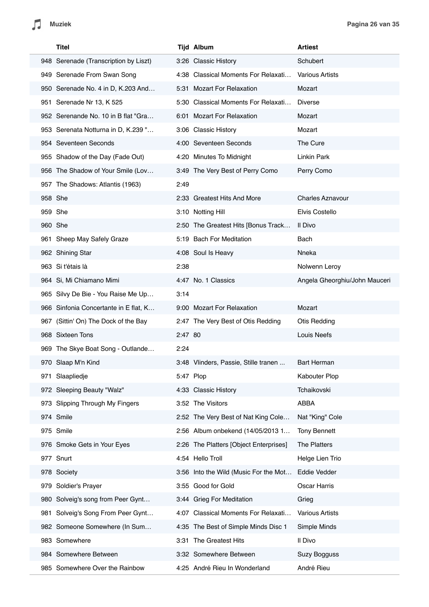| <b>Titel</b>                          |           | <b>Tijd Album</b>                      | <b>Artiest</b>                |
|---------------------------------------|-----------|----------------------------------------|-------------------------------|
| 948 Serenade (Transcription by Liszt) |           | 3:26 Classic History                   | Schubert                      |
| 949 Serenade From Swan Song           |           | 4:38 Classical Moments For Relaxati    | <b>Various Artists</b>        |
| 950 Serenade No. 4 in D, K.203 And    |           | 5:31 Mozart For Relaxation             | Mozart                        |
| 951 Serenade Nr 13, K 525             |           | 5:30 Classical Moments For Relaxati    | <b>Diverse</b>                |
| 952 Serenande No. 10 in B flat "Gra   |           | 6:01 Mozart For Relaxation             | Mozart                        |
| 953 Serenata Notturna in D, K.239 "   |           | 3:06 Classic History                   | Mozart                        |
| 954 Seventeen Seconds                 |           | 4:00 Seventeen Seconds                 | The Cure                      |
| 955 Shadow of the Day (Fade Out)      |           | 4:20 Minutes To Midnight               | Linkin Park                   |
| 956 The Shadow of Your Smile (Lov     |           | 3:49 The Very Best of Perry Como       | Perry Como                    |
| 957 The Shadows: Atlantis (1963)      | 2:49      |                                        |                               |
| 958 She                               |           | 2:33 Greatest Hits And More            | <b>Charles Aznavour</b>       |
| 959 She                               |           | 3:10 Notting Hill                      | <b>Elvis Costello</b>         |
| 960 She                               |           | 2:50 The Greatest Hits [Bonus Track    | Il Divo                       |
| 961 Sheep May Safely Graze            |           | 5:19 Bach For Meditation               | Bach                          |
| 962 Shining Star                      |           | 4:08 Soul Is Heavy                     | Nneka                         |
| 963 Si t'étais là                     | 2:38      |                                        | Nolwenn Leroy                 |
| 964 Si, Mi Chiamano Mimi              |           | 4:47 No. 1 Classics                    | Angela Gheorghiu/John Mauceri |
| 965 Silvy De Bie - You Raise Me Up    | 3:14      |                                        |                               |
| 966 Sinfonia Concertante in E flat, K |           | 9:00 Mozart For Relaxation             | Mozart                        |
| 967 (Sittin' On) The Dock of the Bay  |           | 2:47 The Very Best of Otis Redding     | <b>Otis Redding</b>           |
| 968 Sixteen Tons                      | 2:47 80   |                                        | Louis Neefs                   |
| 969 The Skye Boat Song - Outlande     | 2:24      |                                        |                               |
| 970 Slaap M'n Kind                    |           | 3:48 Vlinders, Passie, Stille tranen   | Bart Herman                   |
| 971 Slaapliedje                       | 5:47 Plop |                                        | Kabouter Plop                 |
| 972 Sleeping Beauty "Walz"            |           | 4:33 Classic History                   | Tchaikovski                   |
| 973 Slipping Through My Fingers       |           | 3:52 The Visitors                      | ABBA                          |
| 974 Smile                             |           | 2:52 The Very Best of Nat King Cole    | Nat "King" Cole               |
| 975 Smile                             |           | 2:56 Album onbekend (14/05/2013 1      | <b>Tony Bennett</b>           |
| 976 Smoke Gets in Your Eyes           |           | 2:26 The Platters [Object Enterprises] | The Platters                  |
| 977 Snurt                             |           | 4:54 Hello Troll                       | Helge Lien Trio               |
| 978 Society                           |           | 3:56 Into the Wild (Music For the Mot  | Eddie Vedder                  |
| 979 Soldier's Prayer                  |           | 3:55 Good for Gold                     | Oscar Harris                  |
| 980 Solveig's song from Peer Gynt     |           | 3:44 Grieg For Meditation              | Grieg                         |
| 981 Solveig's Song From Peer Gynt     |           | 4:07 Classical Moments For Relaxati    | <b>Various Artists</b>        |
| 982 Someone Somewhere (In Sum         |           | 4:35 The Best of Simple Minds Disc 1   | Simple Minds                  |
| 983 Somewhere                         | 3:31      | The Greatest Hits                      | Il Divo                       |
| 984 Somewhere Between                 |           | 3:32 Somewhere Between                 | Suzy Bogguss                  |
| 985 Somewhere Over the Rainbow        |           | 4:25 André Rieu In Wonderland          | André Rieu                    |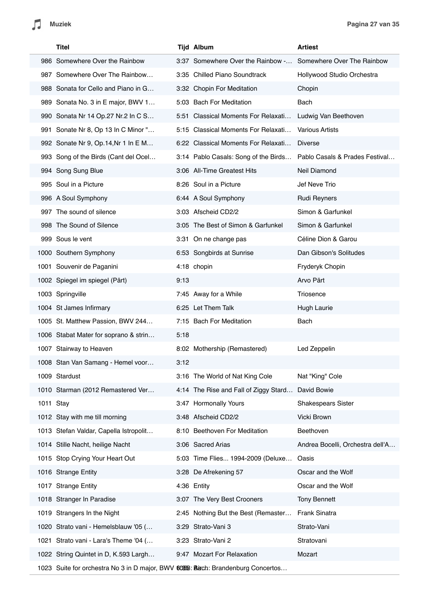|           | Titel                                                                            |      | <b>Tijd Album</b>                     | <b>Artiest</b>                   |
|-----------|----------------------------------------------------------------------------------|------|---------------------------------------|----------------------------------|
|           | 986 Somewhere Over the Rainbow                                                   |      | 3:37 Somewhere Over the Rainbow -     | Somewhere Over The Rainbow       |
|           | 987 Somewhere Over The Rainbow                                                   |      | 3:35 Chilled Piano Soundtrack         | Hollywood Studio Orchestra       |
|           | 988 Sonata for Cello and Piano in G                                              |      | 3:32 Chopin For Meditation            | Chopin                           |
|           | 989 Sonata No. 3 in E major, BWV 1                                               |      | 5:03 Bach For Meditation              | Bach                             |
|           | 990 Sonata Nr 14 Op.27 Nr.2 In C S                                               |      | 5:51 Classical Moments For Relaxati   | Ludwig Van Beethoven             |
|           | 991 Sonate Nr 8, Op 13 In C Minor "                                              |      | 5:15 Classical Moments For Relaxati   | <b>Various Artists</b>           |
|           | 992 Sonate Nr 9, Op.14, Nr 1 In E M                                              |      | 6:22 Classical Moments For Relaxati   | <b>Diverse</b>                   |
|           | 993 Song of the Birds (Cant del Ocel                                             |      | 3:14 Pablo Casals: Song of the Birds  | Pablo Casals & Prades Festival   |
|           | 994 Song Sung Blue                                                               |      | 3:06 All-Time Greatest Hits           | Neil Diamond                     |
|           | 995 Soul in a Picture                                                            |      | 8:26 Soul in a Picture                | Jef Neve Trio                    |
|           | 996 A Soul Symphony                                                              |      | 6:44 A Soul Symphony                  | <b>Rudi Reyners</b>              |
|           | 997 The sound of silence                                                         |      | 3:03 Afscheid CD2/2                   | Simon & Garfunkel                |
|           | 998 The Sound of Silence                                                         |      | 3:05 The Best of Simon & Garfunkel    | Simon & Garfunkel                |
|           | 999 Sous le vent                                                                 |      | 3:31 On ne change pas                 | Céline Dion & Garou              |
|           | 1000 Southern Symphony                                                           |      | 6:53 Songbirds at Sunrise             | Dan Gibson's Solitudes           |
|           | 1001 Souvenir de Paganini                                                        |      | 4:18 chopin                           | Fryderyk Chopin                  |
|           | 1002 Spiegel im spiegel (Pärt)                                                   | 9:13 |                                       | Arvo Pärt                        |
|           | 1003 Springville                                                                 |      | 7:45 Away for a While                 | Triosence                        |
|           | 1004 St James Infirmary                                                          |      | 6:25 Let Them Talk                    | Hugh Laurie                      |
|           | 1005 St. Matthew Passion, BWV 244                                                |      | 7:15 Bach For Meditation              | Bach                             |
|           | 1006 Stabat Mater for soprano & strin                                            | 5:18 |                                       |                                  |
|           | 1007 Stairway to Heaven                                                          |      | 8:02 Mothership (Remastered)          | Led Zeppelin                     |
|           | 1008 Stan Van Samang - Hemel voor                                                | 3:12 |                                       |                                  |
|           | 1009 Stardust                                                                    |      | 3:16 The World of Nat King Cole       | Nat "King" Cole                  |
|           | 1010 Starman (2012 Remastered Ver                                                |      | 4:14 The Rise and Fall of Ziggy Stard | David Bowie                      |
| 1011 Stay |                                                                                  |      | 3:47 Hormonally Yours                 | <b>Shakespears Sister</b>        |
|           | 1012 Stay with me till morning                                                   |      | 3:48 Afscheid CD2/2                   | Vicki Brown                      |
|           | 1013 Stefan Valdar, Capella Istropolit                                           |      | 8:10 Beethoven For Meditation         | Beethoven                        |
|           | 1014 Stille Nacht, heilige Nacht                                                 |      | 3:06 Sacred Arias                     | Andrea Bocelli, Orchestra dell'A |
|           | 1015 Stop Crying Your Heart Out                                                  |      | 5:03 Time Flies 1994-2009 (Deluxe     | Oasis                            |
|           | 1016 Strange Entity                                                              |      | 3:28 De Afrekening 57                 | Oscar and the Wolf               |
|           | 1017 Strange Entity                                                              |      | 4:36 Entity                           | Oscar and the Wolf               |
|           | 1018 Stranger In Paradise                                                        |      | 3:07 The Very Best Crooners           | <b>Tony Bennett</b>              |
|           | 1019 Strangers In the Night                                                      |      | 2:45 Nothing But the Best (Remaster   | Frank Sinatra                    |
|           | 1020 Strato vani - Hemelsblauw '05 (                                             |      | 3:29 Strato-Vani 3                    | Strato-Vani                      |
| 1021      | Strato vani - Lara's Theme '04 (                                                 |      | 3:23 Strato-Vani 2                    | Stratovani                       |
|           | 1022 String Quintet in D, K.593 Largh                                            |      | 9:47 Mozart For Relaxation            | Mozart                           |
|           | 1023 Suite for orchestra No 3 in D major, BWV 60668: Bach: Brandenburg Concertos |      |                                       |                                  |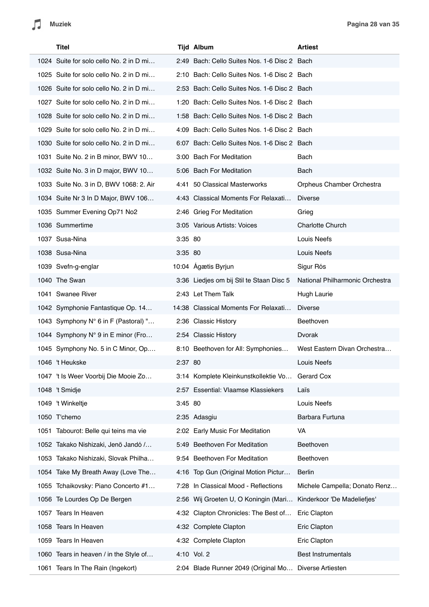|      | <b>Titel</b>                                |         | <b>Tijd Album</b>                            | <b>Artiest</b>                  |
|------|---------------------------------------------|---------|----------------------------------------------|---------------------------------|
|      | 1024 Suite for solo cello No. 2 in D mi     |         | 2:49 Bach: Cello Suites Nos. 1-6 Disc 2 Bach |                                 |
|      | 1025 Suite for solo cello No. 2 in D mi     |         | 2:10 Bach: Cello Suites Nos. 1-6 Disc 2 Bach |                                 |
|      | 1026 Suite for solo cello No. 2 in D mi     |         | 2:53 Bach: Cello Suites Nos. 1-6 Disc 2 Bach |                                 |
|      | 1027 Suite for solo cello No. 2 in D mi     |         | 1:20 Bach: Cello Suites Nos. 1-6 Disc 2 Bach |                                 |
|      | 1028 Suite for solo cello No. 2 in D mi     |         | 1:58 Bach: Cello Suites Nos. 1-6 Disc 2 Bach |                                 |
|      | 1029 Suite for solo cello No. 2 in D mi     |         | 4:09 Bach: Cello Suites Nos. 1-6 Disc 2 Bach |                                 |
|      | 1030 Suite for solo cello No. 2 in D mi     |         | 6:07 Bach: Cello Suites Nos. 1-6 Disc 2 Bach |                                 |
|      | 1031 Suite No. 2 in B minor, BWV 10         |         | 3:00 Bach For Meditation                     | Bach                            |
|      | 1032 Suite No. 3 in D major, BWV 10         |         | 5:06 Bach For Meditation                     | Bach                            |
|      | 1033 Suite No. 3 in D, BWV 1068: 2. Air     |         | 4:41 50 Classical Masterworks                | Orpheus Chamber Orchestra       |
|      | 1034 Suite Nr 3 In D Major, BWV 106         |         | 4:43 Classical Moments For Relaxati          | <b>Diverse</b>                  |
|      | 1035 Summer Evening Op71 No2                |         | 2:46 Grieg For Meditation                    | Grieg                           |
|      | 1036 Summertime                             |         | 3:05 Various Artists: Voices                 | Charlotte Church                |
|      | 1037 Susa-Nina                              | 3:35 80 |                                              | Louis Neefs                     |
|      | 1038 Susa-Nina                              | 3:35 80 |                                              | Louis Neefs                     |
|      | 1039 Svefn-g-englar                         |         | 10:04 Ágætis Byrjun                          | Sigur Rós                       |
|      | 1040 The Swan                               |         | 3:36 Liedjes om bij Stil te Staan Disc 5     | National Philharmonic Orchestra |
|      | 1041 Swanee River                           |         | 2:43 Let Them Talk                           | <b>Hugh Laurie</b>              |
|      | 1042 Symphonie Fantastique Op. 14           |         | 14:38 Classical Moments For Relaxati         | <b>Diverse</b>                  |
|      | 1043 Symphony N° 6 in F (Pastoral) "        |         | 2:36 Classic History                         | Beethoven                       |
|      | 1044 Symphony $N^{\circ}$ 9 in E minor (Fro |         | 2:54 Classic History                         | Dvorak                          |
|      | 1045 Symphony No. 5 in C Minor, Op          |         | 8:10 Beethoven for All: Symphonies           | West Eastern Divan Orchestra    |
|      | 1046 't Heukske                             | 2:37 80 |                                              | Louis Neefs                     |
|      | 1047 't Is Weer Voorbij Die Mooie Zo        |         | 3:14 Komplete Kleinkunstkollektie Vo         | Gerard Cox                      |
|      | 1048 't Smidje                              |         | 2:57 Essential: Vlaamse Klassiekers          | Laïs                            |
|      | 1049 't Winkeltje                           | 3:45 80 |                                              | Louis Neefs                     |
|      | 1050 T'chemo                                |         | 2:35 Adasgiu                                 | Barbara Furtuna                 |
|      | 1051 Tabourot: Belle qui teins ma vie       |         | 2:02 Early Music For Meditation              | VA                              |
|      | 1052 Takako Nishizaki, Jenö Jandó /         |         | 5:49 Beethoven For Meditation                | Beethoven                       |
| 1053 | Takako Nishizaki, Slovak Philha             |         | 9:54 Beethoven For Meditation                | Beethoven                       |
|      | 1054 Take My Breath Away (Love The          |         | 4:16 Top Gun (Original Motion Pictur         | Berlin                          |
| 1055 | Tchaikovsky: Piano Concerto #1              | 7:28    | In Classical Mood - Reflections              | Michele Campella; Donato Renz   |
|      | 1056 Te Lourdes Op De Bergen                |         | 2:56 Wij Groeten U, O Koningin (Mari         | Kinderkoor 'De Madeliefjes'     |
| 1057 | Tears In Heaven                             |         | 4:32 Clapton Chronicles: The Best of         | Eric Clapton                    |
|      | 1058 Tears In Heaven                        |         | 4:32 Complete Clapton                        | Eric Clapton                    |
| 1059 | Tears In Heaven                             |         | 4:32 Complete Clapton                        | Eric Clapton                    |
|      | 1060 Tears in heaven / in the Style of      |         | 4:10 Vol. 2                                  | <b>Best Instrumentals</b>       |
|      | 1061 Tears In The Rain (Ingekort)           |         | 2:04 Blade Runner 2049 (Original Mo          | Diverse Artiesten               |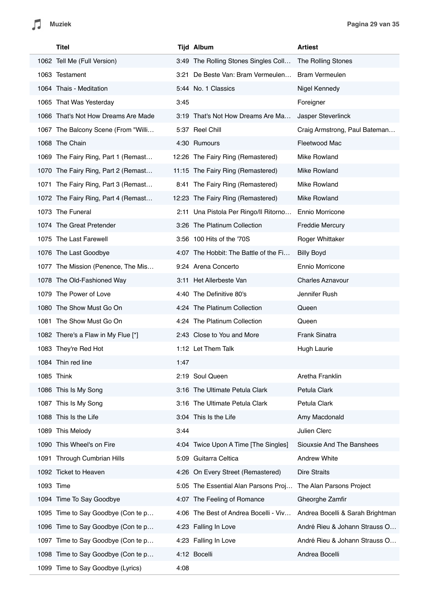| <b>Titel</b>                        |      | <b>Tijd Album</b>                     | <b>Artiest</b>                   |
|-------------------------------------|------|---------------------------------------|----------------------------------|
| 1062 Tell Me (Full Version)         |      | 3:49 The Rolling Stones Singles Coll  | The Rolling Stones               |
| 1063 Testament                      |      | 3:21 De Beste Van: Bram Vermeulen     | <b>Bram Vermeulen</b>            |
| 1064 Thais - Meditation             |      | 5:44 No. 1 Classics                   | Nigel Kennedy                    |
| 1065 That Was Yesterday             | 3:45 |                                       | Foreigner                        |
| 1066 That's Not How Dreams Are Made |      | 3:19 That's Not How Dreams Are Ma     | Jasper Steverlinck               |
| 1067 The Balcony Scene (From "Willi |      | 5:37 Reel Chill                       | Craig Armstrong, Paul Bateman    |
| 1068 The Chain                      |      | 4:30 Rumours                          | Fleetwood Mac                    |
| 1069 The Fairy Ring, Part 1 (Remast |      | 12:26 The Fairy Ring (Remastered)     | Mike Rowland                     |
| 1070 The Fairy Ring, Part 2 (Remast |      | 11:15 The Fairy Ring (Remastered)     | Mike Rowland                     |
| 1071 The Fairy Ring, Part 3 (Remast |      | 8:41 The Fairy Ring (Remastered)      | Mike Rowland                     |
| 1072 The Fairy Ring, Part 4 (Remast |      | 12:23 The Fairy Ring (Remastered)     | Mike Rowland                     |
| 1073 The Funeral                    |      | 2:11 Una Pistola Per Ringo/Il Ritorno | Ennio Morricone                  |
| 1074 The Great Pretender            |      | 3:26 The Platinum Collection          | Freddie Mercury                  |
| 1075 The Last Farewell              |      | 3:56 100 Hits of the '70S             | Roger Whittaker                  |
| 1076 The Last Goodbye               |      | 4:07 The Hobbit: The Battle of the Fi | <b>Billy Boyd</b>                |
| 1077 The Mission (Penence, The Mis  |      | 9:24 Arena Concerto                   | Ennio Morricone                  |
| 1078 The Old-Fashioned Way          |      | 3:11 Het Allerbeste Van               | <b>Charles Aznavour</b>          |
| 1079 The Power of Love              |      | 4:40 The Definitive 80's              | Jennifer Rush                    |
| 1080 The Show Must Go On            |      | 4:24 The Platinum Collection          | Queen                            |
| 1081 The Show Must Go On            |      | 4:24 The Platinum Collection          | Queen                            |
| 1082 There's a Flaw in My Flue [*]  |      | 2:43 Close to You and More            | Frank Sinatra                    |
| 1083 They're Red Hot                |      | 1:12 Let Them Talk                    | Hugh Laurie                      |
| 1084 Thin red line                  | 1:47 |                                       |                                  |
| 1085 Think                          |      | 2:19 Soul Queen                       | Aretha Franklin                  |
| 1086 This Is My Song                |      | 3:16 The Ultimate Petula Clark        | Petula Clark                     |
| 1087 This Is My Song                |      | 3:16 The Ultimate Petula Clark        | Petula Clark                     |
| 1088 This Is the Life               |      | 3:04 This Is the Life                 | Amy Macdonald                    |
| This Melody<br>1089                 | 3:44 |                                       | Julien Clerc                     |
| 1090 This Wheel's on Fire           |      | 4:04 Twice Upon A Time [The Singles]  | Siouxsie And The Banshees        |
| 1091 Through Cumbrian Hills         |      | 5:09 Guitarra Celtica                 | <b>Andrew White</b>              |
| 1092 Ticket to Heaven               |      | 4:26 On Every Street (Remastered)     | <b>Dire Straits</b>              |
| 1093 Time                           |      | 5:05 The Essential Alan Parsons Proj  | The Alan Parsons Project         |
| 1094 Time To Say Goodbye            |      | 4:07 The Feeling of Romance           | Gheorghe Zamfir                  |
| 1095 Time to Say Goodbye (Con te p  |      | 4:06 The Best of Andrea Bocelli - Viv | Andrea Bocelli & Sarah Brightman |
| 1096 Time to Say Goodbye (Con te p  |      | 4:23 Falling In Love                  | André Rieu & Johann Strauss O    |
| 1097 Time to Say Goodbye (Con te p  |      | 4:23 Falling In Love                  | André Rieu & Johann Strauss O    |
| 1098 Time to Say Goodbye (Con te p  |      | 4:12 Bocelli                          | Andrea Bocelli                   |
| 1099 Time to Say Goodbye (Lyrics)   | 4:08 |                                       |                                  |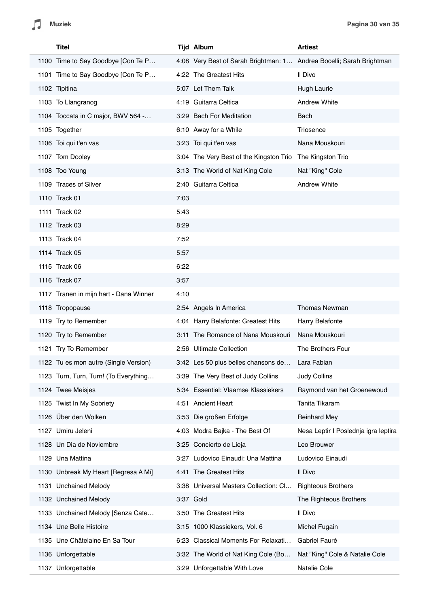| Titel                                  |      | <b>Tijd Album</b>                                                    | <b>Artiest</b>                       |
|----------------------------------------|------|----------------------------------------------------------------------|--------------------------------------|
| 1100 Time to Say Goodbye [Con Te P     |      | 4:08 Very Best of Sarah Brightman: 1 Andrea Bocelli; Sarah Brightman |                                      |
| 1101 Time to Say Goodbye [Con Te P     |      | 4:22 The Greatest Hits                                               | Il Divo                              |
| 1102 Tipitina                          |      | 5:07 Let Them Talk                                                   | Hugh Laurie                          |
| 1103 To Llangranog                     |      | 4:19 Guitarra Celtica                                                | <b>Andrew White</b>                  |
| 1104 Toccata in C major, BWV 564 -     |      | 3:29 Bach For Meditation                                             | Bach                                 |
| 1105 Together                          |      | 6:10 Away for a While                                                | Triosence                            |
| 1106 Toi qui t'en vas                  |      | 3:23 Toi qui t'en vas                                                | Nana Mouskouri                       |
| 1107 Tom Dooley                        |      | 3:04 The Very Best of the Kingston Trio                              | The Kingston Trio                    |
| 1108 Too Young                         |      | 3:13 The World of Nat King Cole                                      | Nat "King" Cole                      |
| 1109 Traces of Silver                  |      | 2:40 Guitarra Celtica                                                | <b>Andrew White</b>                  |
| 1110 Track 01                          | 7:03 |                                                                      |                                      |
| 1111 Track 02                          | 5:43 |                                                                      |                                      |
| 1112 Track 03                          | 8:29 |                                                                      |                                      |
| 1113 Track 04                          | 7:52 |                                                                      |                                      |
| 1114 Track 05                          | 5:57 |                                                                      |                                      |
| 1115 Track 06                          | 6:22 |                                                                      |                                      |
| 1116 Track 07                          | 3:57 |                                                                      |                                      |
| 1117 Tranen in mijn hart - Dana Winner | 4:10 |                                                                      |                                      |
| 1118 Tropopause                        |      | 2:54 Angels In America                                               | <b>Thomas Newman</b>                 |
| 1119 Try to Remember                   |      | 4:04 Harry Belafonte: Greatest Hits                                  | Harry Belafonte                      |
| 1120 Try to Remember                   |      | 3:11 The Romance of Nana Mouskouri                                   | Nana Mouskouri                       |
| 1121 Try To Remember                   |      | 2:56 Ultimate Collection                                             | The Brothers Four                    |
| 1122 Tu es mon autre (Single Version)  |      | 3:42 Les 50 plus belles chansons de                                  | Lara Fabian                          |
| 1123 Turn, Turn, Turn! (To Everything  |      | 3:39 The Very Best of Judy Collins                                   | <b>Judy Collins</b>                  |
| 1124 Twee Meisjes                      |      | 5:34 Essential: Vlaamse Klassiekers                                  | Raymond van het Groenewoud           |
| 1125 Twist In My Sobriety              | 4:51 | <b>Ancient Heart</b>                                                 | Tanita Tikaram                       |
| 1126 Über den Wolken                   |      | 3:53 Die großen Erfolge                                              | <b>Reinhard Mey</b>                  |
| 1127 Umiru Jeleni                      |      | 4:03 Modra Bajka - The Best Of                                       | Nesa Leptir I Poslednja igra leptira |
| 1128 Un Dia de Noviembre               |      | 3:25 Concierto de Lieja                                              | Leo Brouwer                          |
| 1129 Una Mattina                       |      | 3:27 Ludovico Einaudi: Una Mattina                                   | Ludovico Einaudi                     |
| 1130 Unbreak My Heart [Regresa A Mi]   |      | 4:41 The Greatest Hits                                               | Il Divo                              |
| 1131 Unchained Melody                  |      | 3:38 Universal Masters Collection: Cl                                | <b>Righteous Brothers</b>            |
| 1132 Unchained Melody                  |      | 3:37 Gold                                                            | The Righteous Brothers               |
| 1133 Unchained Melody [Senza Cate      |      | 3:50 The Greatest Hits                                               | Il Divo                              |
| 1134 Une Belle Histoire                |      | 3:15 1000 Klassiekers, Vol. 6                                        | Michel Fugain                        |
| 1135 Une Châtelaine En Sa Tour         |      | 6:23 Classical Moments For Relaxati                                  | Gabriel Fauré                        |
| 1136 Unforgettable                     |      | 3:32 The World of Nat King Cole (Bo                                  | Nat "King" Cole & Natalie Cole       |
| 1137 Unforgettable                     |      | 3:29 Unforgettable With Love                                         | Natalie Cole                         |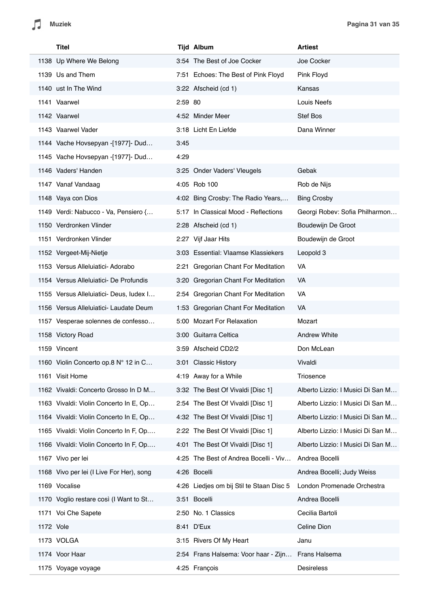$\sqrt{2}$ 

| Titel                                    |         | <b>Tijd Album</b>                        | <b>Artiest</b>                    |
|------------------------------------------|---------|------------------------------------------|-----------------------------------|
| 1138 Up Where We Belong                  |         | 3:54 The Best of Joe Cocker              | Joe Cocker                        |
| 1139 Us and Them                         |         | 7:51 Echoes: The Best of Pink Floyd      | Pink Floyd                        |
| 1140 ust In The Wind                     |         | 3:22 Afscheid (cd 1)                     | Kansas                            |
| 1141 Vaarwel                             | 2:59 80 |                                          | Louis Neefs                       |
| 1142 Vaarwel                             |         | 4:52 Minder Meer                         | Stef Bos                          |
| 1143 Vaarwel Vader                       |         | 3:18 Licht En Liefde                     | Dana Winner                       |
| 1144 Vache Hovsepyan -[1977]- Dud        | 3:45    |                                          |                                   |
| 1145 Vache Hovsepyan -[1977]- Dud        | 4:29    |                                          |                                   |
| 1146 Vaders' Handen                      |         | 3:25 Onder Vaders' Vleugels              | Gebak                             |
| 1147 Vanaf Vandaag                       |         | 4:05 Rob 100                             | Rob de Nijs                       |
| 1148 Vaya con Dios                       |         | 4:02 Bing Crosby: The Radio Years,       | <b>Bing Crosby</b>                |
| 1149 Verdi: Nabucco - Va, Pensiero {     |         | 5:17 In Classical Mood - Reflections     | Georgi Robev: Sofia Philharmon    |
| 1150 Verdronken Vlinder                  |         | 2:28 Afscheid (cd 1)                     | Boudewijn De Groot                |
| 1151 Verdronken Vlinder                  |         | 2:27 Vijf Jaar Hits                      | Boudewijn de Groot                |
| 1152 Vergeet-Mij-Nietje                  |         | 3:03 Essential: Vlaamse Klassiekers      | Leopold 3                         |
| 1153 Versus Alleluiatici- Adorabo        |         | 2:21 Gregorian Chant For Meditation      | VA                                |
| 1154 Versus Alleluiatici- De Profundis   |         | 3:20 Gregorian Chant For Meditation      | VA                                |
| 1155 Versus Alleluiatici- Deus, ludex I  |         | 2:54 Gregorian Chant For Meditation      | VA                                |
| 1156 Versus Alleluiatici- Laudate Deum   |         | 1:53 Gregorian Chant For Meditation      | VA                                |
| 1157 Vesperae solennes de confesso       |         | 5:00 Mozart For Relaxation               | Mozart                            |
| 1158 Victory Road                        |         | 3:00 Guitarra Celtica                    | <b>Andrew White</b>               |
| 1159 Vincent                             |         | 3:59 Afscheid CD2/2                      | Don McLean                        |
| 1160 Violin Concerto op.8 N° 12 in C     |         | 3:01 Classic History                     | Vivaldi                           |
| 1161 Visit Home                          |         | 4:19 Away for a While                    | Triosence                         |
| 1162 Vivaldi: Concerto Grosso In D M     |         | 3:32 The Best Of Vivaldi [Disc 1]        | Alberto Lizzio: I Musici Di San M |
| 1163 Vivaldi: Violin Concerto In E, Op   |         | 2:54 The Best Of Vivaldi [Disc 1]        | Alberto Lizzio: I Musici Di San M |
| 1164 Vivaldi: Violin Concerto In E, Op   |         | 4:32 The Best Of Vivaldi [Disc 1]        | Alberto Lizzio: I Musici Di San M |
| 1165 Vivaldi: Violin Concerto In F, Op   |         | 2:22 The Best Of Vivaldi [Disc 1]        | Alberto Lizzio: I Musici Di San M |
| 1166 Vivaldi: Violin Concerto In F, Op   |         | 4:01 The Best Of Vivaldi [Disc 1]        | Alberto Lizzio: I Musici Di San M |
| 1167 Vivo per lei                        |         | 4:25 The Best of Andrea Bocelli - Viv    | Andrea Bocelli                    |
| 1168 Vivo per lei (I Live For Her), song |         | 4:26 Bocelli                             | Andrea Bocelli; Judy Weiss        |
| 1169 Vocalise                            |         | 4:26 Liedjes om bij Stil te Staan Disc 5 | London Promenade Orchestra        |
| 1170 Voglio restare così (I Want to St   |         | 3:51 Bocelli                             | Andrea Bocelli                    |
| 1171 Voi Che Sapete                      |         | 2:50 No. 1 Classics                      | Cecilia Bartoli                   |
| 1172 Vole                                |         | 8:41 D'Eux                               | Celine Dion                       |
| 1173 VOLGA                               |         | 3:15 Rivers Of My Heart                  | Janu                              |
| 1174 Voor Haar                           |         | 2:54 Frans Halsema: Voor haar - Zijn     | Frans Halsema                     |
| 1175 Voyage voyage                       |         | 4:25 François                            | Desireless                        |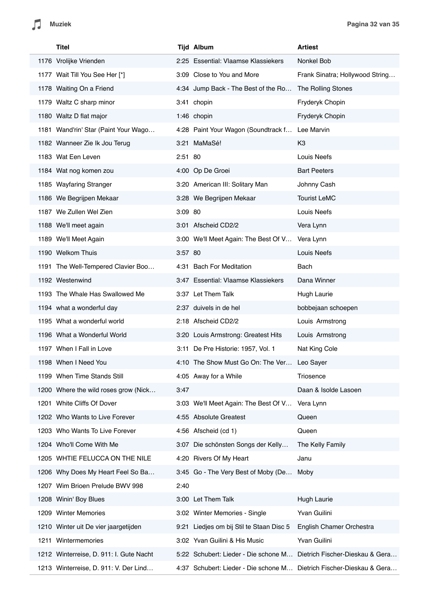| <b>Titel</b>                            |         | <b>Tijd Album</b>                                                    | <b>Artiest</b>                  |
|-----------------------------------------|---------|----------------------------------------------------------------------|---------------------------------|
| 1176 Vrolijke Vrienden                  |         | 2:25 Essential: Vlaamse Klassiekers                                  | Nonkel Bob                      |
| 1177 Wait Till You See Her [*]          |         | 3:09 Close to You and More                                           | Frank Sinatra; Hollywood String |
| 1178 Waiting On a Friend                |         | 4:34 Jump Back - The Best of the Ro                                  | The Rolling Stones              |
| 1179 Waltz C sharp minor                |         | 3:41 chopin                                                          | Fryderyk Chopin                 |
| 1180 Waltz D flat major                 |         | 1:46 chopin                                                          | Fryderyk Chopin                 |
| 1181 Wand'rin' Star (Paint Your Wago    |         | 4:28 Paint Your Wagon (Soundtrack f                                  | Lee Marvin                      |
| 1182 Wanneer Zie Ik Jou Terug           |         | 3:21 MaMaSé!                                                         | K <sub>3</sub>                  |
| 1183 Wat Een Leven                      | 2:51 80 |                                                                      | Louis Neefs                     |
| 1184 Wat nog komen zou                  |         | 4:00 Op De Groei                                                     | <b>Bart Peeters</b>             |
| 1185 Wayfaring Stranger                 |         | 3:20 American III: Solitary Man                                      | Johnny Cash                     |
| 1186 We Begrijpen Mekaar                |         | 3:28 We Begrijpen Mekaar                                             | <b>Tourist LeMC</b>             |
| 1187 We Zullen Wel Zien                 | 3:09 80 |                                                                      | Louis Neefs                     |
| 1188 We'll meet again                   |         | 3:01 Afscheid CD2/2                                                  | Vera Lynn                       |
| 1189 We'll Meet Again                   |         | 3:00 We'll Meet Again: The Best Of V                                 | Vera Lynn                       |
| 1190 Welkom Thuis                       | 3:57 80 |                                                                      | Louis Neefs                     |
| 1191 The Well-Tempered Clavier Boo      |         | 4:31 Bach For Meditation                                             | Bach                            |
| 1192 Westenwind                         |         | 3:47 Essential: Vlaamse Klassiekers                                  | Dana Winner                     |
| 1193 The Whale Has Swallowed Me         |         | 3:37 Let Them Talk                                                   | <b>Hugh Laurie</b>              |
| 1194 what a wonderful day               |         | 2:37 duivels in de hel                                               | bobbejaan schoepen              |
| 1195 What a wonderful world             |         | 2:18 Afscheid CD2/2                                                  | Louis Armstrong                 |
| 1196 What a Wonderful World             |         | 3:20 Louis Armstrong: Greatest Hits                                  | Louis Armstrong                 |
| 1197 When I Fall in Love                |         | 3:11 De Pre Historie: 1957, Vol. 1                                   | Nat King Cole                   |
| 1198 When I Need You                    |         | 4:10 The Show Must Go On: The Ver                                    | Leo Sayer                       |
| 1199 When Time Stands Still             |         | 4:05 Away for a While                                                | Triosence                       |
| 1200 Where the wild roses grow (Nick    | 3:47    |                                                                      | Daan & Isolde Lasoen            |
| 1201 White Cliffs Of Dover              |         | 3:03 We'll Meet Again: The Best Of V                                 | Vera Lynn                       |
| 1202 Who Wants to Live Forever          |         | 4:55 Absolute Greatest                                               | Queen                           |
| 1203 Who Wants To Live Forever          |         | 4:56 Afscheid (cd 1)                                                 | Queen                           |
| 1204 Who'll Come With Me                |         | 3:07 Die schönsten Songs der Kelly                                   | The Kelly Family                |
| 1205 WHTIE FELUCCA ON THE NILE          |         | 4:20 Rivers Of My Heart                                              | Janu                            |
| 1206 Why Does My Heart Feel So Ba       |         | 3:45 Go - The Very Best of Moby (De                                  | Moby                            |
| 1207 Wim Brioen Prelude BWV 998         | 2:40    |                                                                      |                                 |
| 1208 Winin' Boy Blues                   |         | 3:00 Let Them Talk                                                   | <b>Hugh Laurie</b>              |
| 1209 Winter Memories                    |         | 3:02 Winter Memories - Single                                        | Yvan Guilini                    |
| 1210 Winter uit De vier jaargetijden    |         | 9:21 Liedjes om bij Stil te Staan Disc 5                             | English Chamer Orchestra        |
| 1211 Wintermemories                     |         | 3:02 Yvan Guilini & His Music                                        | Yvan Guilini                    |
| 1212 Winterreise, D. 911: I. Gute Nacht |         | 5:22 Schubert: Lieder - Die schone M Dietrich Fischer-Dieskau & Gera |                                 |
| 1213 Winterreise, D. 911: V. Der Lind   |         | 4:37 Schubert: Lieder - Die schone M Dietrich Fischer-Dieskau & Gera |                                 |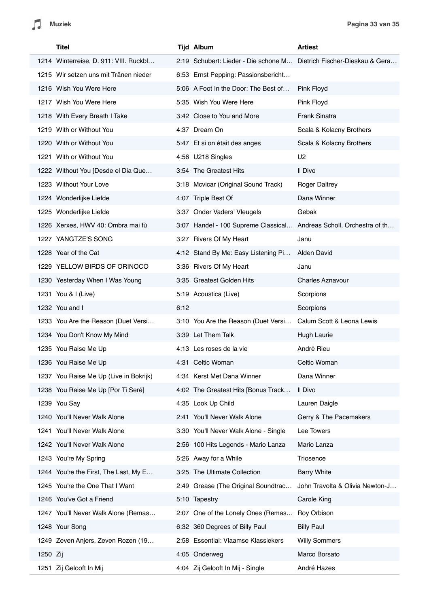| Titel                                  |      | <b>Tijd Album</b>                                                    | <b>Artiest</b>                  |
|----------------------------------------|------|----------------------------------------------------------------------|---------------------------------|
| 1214 Winterreise, D. 911: VIII. Ruckbl |      | 2:19 Schubert: Lieder - Die schone M Dietrich Fischer-Dieskau & Gera |                                 |
| 1215 Wir setzen uns mit Tränen nieder  |      | 6:53 Ernst Pepping: Passionsbericht                                  |                                 |
| 1216 Wish You Were Here                |      | 5:06 A Foot In the Door: The Best of                                 | Pink Floyd                      |
| 1217 Wish You Were Here                |      | 5:35 Wish You Were Here                                              | Pink Floyd                      |
| 1218 With Every Breath I Take          |      | 3:42 Close to You and More                                           | <b>Frank Sinatra</b>            |
| 1219 With or Without You               |      | 4:37 Dream On                                                        | Scala & Kolacny Brothers        |
| 1220 With or Without You               |      | 5:47 Et si on était des anges                                        | Scala & Kolacny Brothers        |
| 1221 With or Without You               |      | 4:56 U218 Singles                                                    | U <sub>2</sub>                  |
| 1222 Without You [Desde el Dia Que     |      | 3:54 The Greatest Hits                                               | Il Divo                         |
| 1223 Without Your Love                 |      | 3:18 Mcvicar (Original Sound Track)                                  | <b>Roger Daltrey</b>            |
| 1224 Wonderlijke Liefde                |      | 4:07 Triple Best Of                                                  | Dana Winner                     |
| 1225 Wonderlijke Liefde                |      | 3:37 Onder Vaders' Vleugels                                          | Gebak                           |
| 1226 Xerxes, HWV 40: Ombra mai fù      |      | 3:07 Handel - 100 Supreme Classical Andreas Scholl, Orchestra of th  |                                 |
| 1227 YANGTZE'S SONG                    |      | 3:27 Rivers Of My Heart                                              | Janu                            |
| 1228 Year of the Cat                   |      | 4:12 Stand By Me: Easy Listening Pi                                  | Alden David                     |
| 1229 YELLOW BIRDS OF ORINOCO           |      | 3:36 Rivers Of My Heart                                              | Janu                            |
| 1230 Yesterday When I Was Young        |      | 3:35 Greatest Golden Hits                                            | <b>Charles Aznavour</b>         |
| 1231 You & I (Live)                    |      | 5:19 Acoustica (Live)                                                | Scorpions                       |
| 1232 You and I                         | 6:12 |                                                                      | Scorpions                       |
| 1233 You Are the Reason (Duet Versi    |      | 3:10 You Are the Reason (Duet Versi                                  | Calum Scott & Leona Lewis       |
| 1234 You Don't Know My Mind            |      | 3:39 Let Them Talk                                                   | Hugh Laurie                     |
| 1235 You Raise Me Up                   |      | 4:13 Les roses de la vie                                             | André Rieu                      |
| 1236 You Raise Me Up                   |      | 4:31 Celtic Woman                                                    | Celtic Woman                    |
| 1237 You Raise Me Up (Live in Bokrijk) |      | 4:34 Kerst Met Dana Winner                                           | Dana Winner                     |
| 1238 You Raise Me Up [Por Ti Seré]     |      | 4:02 The Greatest Hits [Bonus Track                                  | Il Divo                         |
| 1239 You Say                           |      | 4:35 Look Up Child                                                   | Lauren Daigle                   |
| 1240 You'll Never Walk Alone           |      | 2:41 You'll Never Walk Alone                                         | Gerry & The Pacemakers          |
| 1241 You'll Never Walk Alone           |      | 3:30 You'll Never Walk Alone - Single                                | Lee Towers                      |
| 1242 You'll Never Walk Alone           |      | 2:56 100 Hits Legends - Mario Lanza                                  | Mario Lanza                     |
| 1243 You're My Spring                  |      | 5:26 Away for a While                                                | Triosence                       |
| 1244 You're the First, The Last, My E  |      | 3:25 The Ultimate Collection                                         | <b>Barry White</b>              |
| 1245 You're the One That I Want        |      | 2:49 Grease (The Original Soundtrac                                  | John Travolta & Olivia Newton-J |
| 1246 You've Got a Friend               |      | 5:10 Tapestry                                                        | Carole King                     |
| 1247 You'll Never Walk Alone (Remas    |      | 2:07 One of the Lonely Ones (Remas                                   | Roy Orbison                     |
| 1248 Your Song                         |      | 6:32 360 Degrees of Billy Paul                                       | <b>Billy Paul</b>               |
| 1249 Zeven Anjers, Zeven Rozen (19     |      | 2:58 Essential: Vlaamse Klassiekers                                  | <b>Willy Sommers</b>            |
| 1250 Zij                               |      | 4:05 Onderweg                                                        | Marco Borsato                   |
| 1251 Zij Gelooft In Mij                |      | 4:04 Zij Gelooft In Mij - Single                                     | André Hazes                     |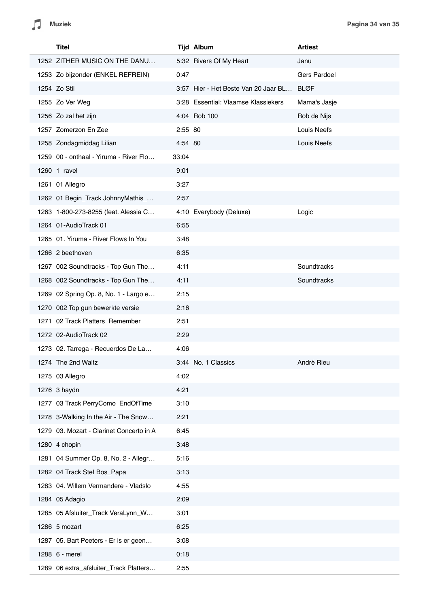| Titel                                    |         | <b>Tijd Album</b>                    | <b>Artiest</b>     |
|------------------------------------------|---------|--------------------------------------|--------------------|
| 1252 ZITHER MUSIC ON THE DANU            |         | 5:32 Rivers Of My Heart              | Janu               |
| 1253 Zo bijzonder (ENKEL REFREIN)        | 0:47    |                                      | Gers Pardoel       |
| 1254 Zo Stil                             |         | 3:57 Hier - Het Beste Van 20 Jaar BL | <b>BLØF</b>        |
| 1255 Zo Ver Weg                          |         | 3:28 Essential: Vlaamse Klassiekers  | Mama's Jasje       |
| 1256 Zo zal het zijn                     |         | 4:04 Rob 100                         | Rob de Nijs        |
| 1257 Zomerzon En Zee                     | 2:55 80 |                                      | Louis Neefs        |
| 1258 Zondagmiddag Lilian                 | 4:54 80 |                                      | <b>Louis Neefs</b> |
| 1259 00 - onthaal - Yiruma - River Flo   | 33:04   |                                      |                    |
| 1260 1 ravel                             | 9:01    |                                      |                    |
| 1261 01 Allegro                          | 3:27    |                                      |                    |
| 1262 01 Begin_Track JohnnyMathis_        | 2:57    |                                      |                    |
| 1263 1-800-273-8255 (feat. Alessia C     |         | 4:10 Everybody (Deluxe)              | Logic              |
| 1264 01-AudioTrack 01                    | 6:55    |                                      |                    |
| 1265 01. Yiruma - River Flows In You     | 3:48    |                                      |                    |
| 1266 2 beethoven                         | 6:35    |                                      |                    |
| 1267 002 Soundtracks - Top Gun The       | 4:11    |                                      | Soundtracks        |
| 1268 002 Soundtracks - Top Gun The       | 4:11    |                                      | Soundtracks        |
| 1269 02 Spring Op. 8, No. 1 - Largo e    | 2:15    |                                      |                    |
| 1270 002 Top gun bewerkte versie         | 2:16    |                                      |                    |
| 1271 02 Track Platters_Remember          | 2:51    |                                      |                    |
| 1272 02-AudioTrack 02                    | 2:29    |                                      |                    |
| 1273 02. Tarrega - Recuerdos De La       | 4:06    |                                      |                    |
| 1274 The 2nd Waltz                       |         | 3:44 No. 1 Classics                  | André Rieu         |
| 1275 03 Allegro                          | 4:02    |                                      |                    |
| 1276 3 haydn                             | 4:21    |                                      |                    |
| 1277 03 Track PerryComo_EndOfTime        | 3:10    |                                      |                    |
| 1278 3-Walking In the Air - The Snow     | 2:21    |                                      |                    |
| 1279 03. Mozart - Clarinet Concerto in A | 6:45    |                                      |                    |
| 1280 4 chopin                            | 3:48    |                                      |                    |
| 1281 04 Summer Op. 8, No. 2 - Allegr     | 5:16    |                                      |                    |
| 1282 04 Track Stef Bos_Papa              | 3:13    |                                      |                    |
| 1283 04. Willem Vermandere - Vladslo     | 4:55    |                                      |                    |
| 1284 05 Adagio                           | 2:09    |                                      |                    |
| 1285 05 Afsluiter_Track VeraLynn_W       | 3:01    |                                      |                    |
| 1286 5 mozart                            | 6:25    |                                      |                    |
| 1287 05. Bart Peeters - Er is er geen    | 3:08    |                                      |                    |
| 1288 6 - merel                           | 0:18    |                                      |                    |
| 1289 06 extra_afsluiter_Track Platters   | 2:55    |                                      |                    |